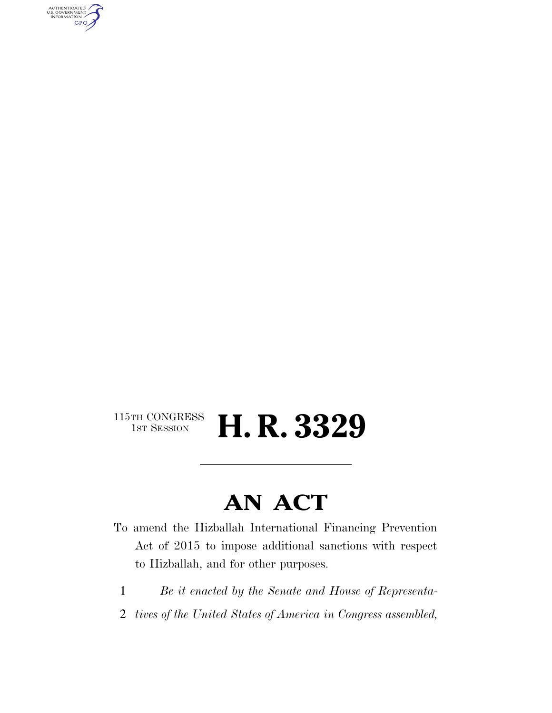AUTHENTICATED<br>U.S. GOVERNMENT<br>INFORMATION **GPO** 

### $\begin{array}{c} \textbf{115TH CONGRESS} \\ \textbf{1ST SESION} \end{array}$ H. R. 3329

# **AN ACT**

- To amend the Hizballah International Financing Prevention Act of 2015 to impose additional sanctions with respect to Hizballah, and for other purposes.
	- 1 *Be it enacted by the Senate and House of Representa-*
- 2 *tives of the United States of America in Congress assembled,*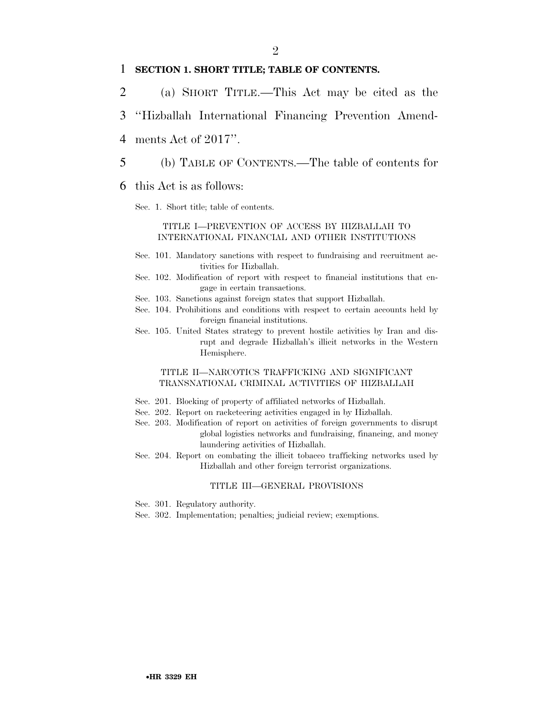#### 1 **SECTION 1. SHORT TITLE; TABLE OF CONTENTS.**

- 2 (a) SHORT TITLE.—This Act may be cited as the
- 3 ''Hizballah International Financing Prevention Amend-
- 4 ments Act of 2017''.
- 5 (b) TABLE OF CONTENTS.—The table of contents for
- 6 this Act is as follows:
	- Sec. 1. Short title; table of contents.

#### TITLE I—PREVENTION OF ACCESS BY HIZBALLAH TO INTERNATIONAL FINANCIAL AND OTHER INSTITUTIONS

- Sec. 101. Mandatory sanctions with respect to fundraising and recruitment activities for Hizballah.
- Sec. 102. Modification of report with respect to financial institutions that engage in certain transactions.
- Sec. 103. Sanctions against foreign states that support Hizballah.
- Sec. 104. Prohibitions and conditions with respect to certain accounts held by foreign financial institutions.
- Sec. 105. United States strategy to prevent hostile activities by Iran and disrupt and degrade Hizballah's illicit networks in the Western Hemisphere.

#### TITLE II—NARCOTICS TRAFFICKING AND SIGNIFICANT TRANSNATIONAL CRIMINAL ACTIVITIES OF HIZBALLAH

- Sec. 201. Blocking of property of affiliated networks of Hizballah.
- Sec. 202. Report on racketeering activities engaged in by Hizballah.
- Sec. 203. Modification of report on activities of foreign governments to disrupt global logistics networks and fundraising, financing, and money laundering activities of Hizballah.
- Sec. 204. Report on combating the illicit tobacco trafficking networks used by Hizballah and other foreign terrorist organizations.

#### TITLE III—GENERAL PROVISIONS

- Sec. 301. Regulatory authority.
- Sec. 302. Implementation; penalties; judicial review; exemptions.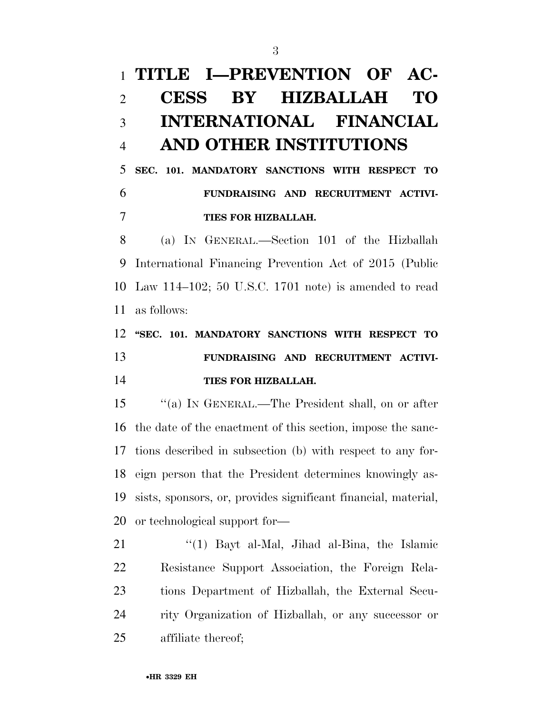## **TITLE I—PREVENTION OF AC- CESS BY HIZBALLAH TO INTERNATIONAL FINANCIAL AND OTHER INSTITUTIONS**

## **SEC. 101. MANDATORY SANCTIONS WITH RESPECT TO FUNDRAISING AND RECRUITMENT ACTIVI-TIES FOR HIZBALLAH.**

 (a) IN GENERAL.—Section 101 of the Hizballah International Financing Prevention Act of 2015 (Public Law 114–102; 50 U.S.C. 1701 note) is amended to read as follows:

## **''SEC. 101. MANDATORY SANCTIONS WITH RESPECT TO FUNDRAISING AND RECRUITMENT ACTIVI-TIES FOR HIZBALLAH.**

 ''(a) IN GENERAL.—The President shall, on or after the date of the enactment of this section, impose the sanc- tions described in subsection (b) with respect to any for- eign person that the President determines knowingly as- sists, sponsors, or, provides significant financial, material, or technological support for—

21 ''(1) Bayt al-Mal, Jihad al-Bina, the Islamic Resistance Support Association, the Foreign Rela- tions Department of Hizballah, the External Secu- rity Organization of Hizballah, or any successor or affiliate thereof;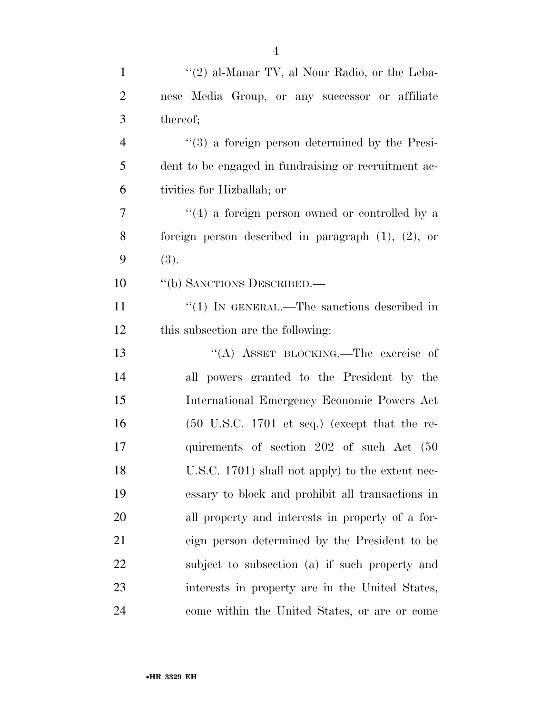| $\mathbf{1}$   | " $(2)$ al-Manar TV, al Nour Radio, or the Leba-                 |
|----------------|------------------------------------------------------------------|
| $\overline{2}$ | nese Media Group, or any successor or affiliate                  |
| 3              | thereof;                                                         |
| $\overline{4}$ | $\cdot\cdot\cdot(3)$ a foreign person determined by the Presi-   |
| 5              | dent to be engaged in fundraising or recruitment ac-             |
| 6              | tivities for Hizballah; or                                       |
| $\overline{7}$ | "(4) a foreign person owned or controlled by a                   |
| 8              | foreign person described in paragraph $(1)$ , $(2)$ , or         |
| 9              | (3).                                                             |
| 10             | "(b) SANCTIONS DESCRIBED.—                                       |
| 11             | "(1) IN GENERAL.—The sanctions described in                      |
| 12             | this subsection are the following:                               |
| 13             | "(A) ASSET BLOCKING.—The exercise of                             |
| 14             | all powers granted to the President by the                       |
| 15             | International Emergency Economic Powers Act                      |
| 16             | $(50 \text{ U.S.C. } 1701 \text{ et seq.})$ (except that the re- |
| 17             | quirements of section 202 of such Act (50                        |
| 18             | U.S.C. 1701) shall not apply) to the extent nec-                 |
| 19             | essary to block and prohibit all transactions in                 |
| 20             | all property and interests in property of a for-                 |
| 21             | eign person determined by the President to be                    |
| 22             | subject to subsection (a) if such property and                   |
| 23             | interests in property are in the United States,                  |
| 24             | come within the United States, or are or come                    |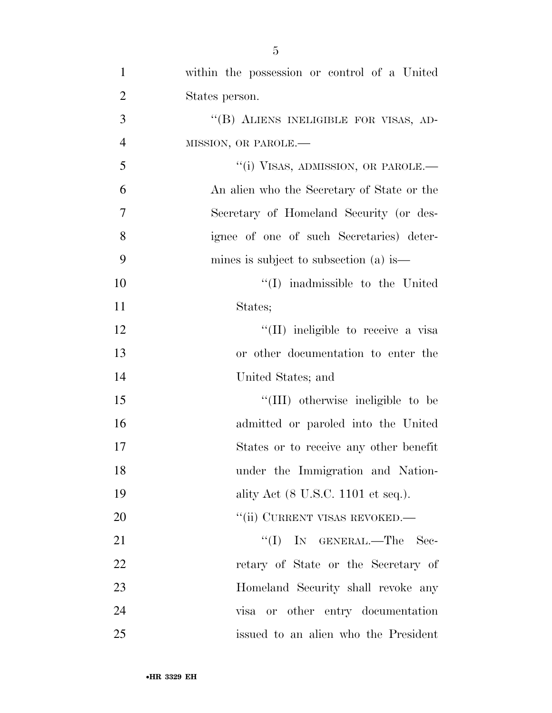| $\mathbf{1}$   | within the possession or control of a United                   |
|----------------|----------------------------------------------------------------|
| $\overline{2}$ | States person.                                                 |
| 3              | "(B) ALIENS INELIGIBLE FOR VISAS, AD-                          |
| $\overline{4}$ | MISSION, OR PAROLE.-                                           |
| 5              | "(i) VISAS, ADMISSION, OR PAROLE.—                             |
| 6              | An alien who the Secretary of State or the                     |
| $\overline{7}$ | Secretary of Homeland Security (or des-                        |
| 8              | ignee of one of such Secretaries) deter-                       |
| 9              | mines is subject to subsection (a) is $\overline{\phantom{a}}$ |
| 10             | $\lq\lq$ in admissible to the United                           |
| 11             | States;                                                        |
| 12             | "(II) ineligible to receive a visa                             |
| 13             | or other documentation to enter the                            |
| 14             | United States; and                                             |
| 15             | "(III) otherwise ineligible to be                              |
| 16             | admitted or paroled into the United                            |
| 17             | States or to receive any other benefit                         |
| 18             | under the Immigration and Nation-                              |
| 19             | ality Act (8 U.S.C. 1101 et seq.).                             |
| 20             | "(ii) CURRENT VISAS REVOKED.—                                  |
| 21             | "(I) IN GENERAL.—The Sec-                                      |
| 22             | retary of State or the Secretary of                            |
| 23             | Homeland Security shall revoke any                             |
| 24             | visa or other entry documentation                              |
| 25             | issued to an alien who the President                           |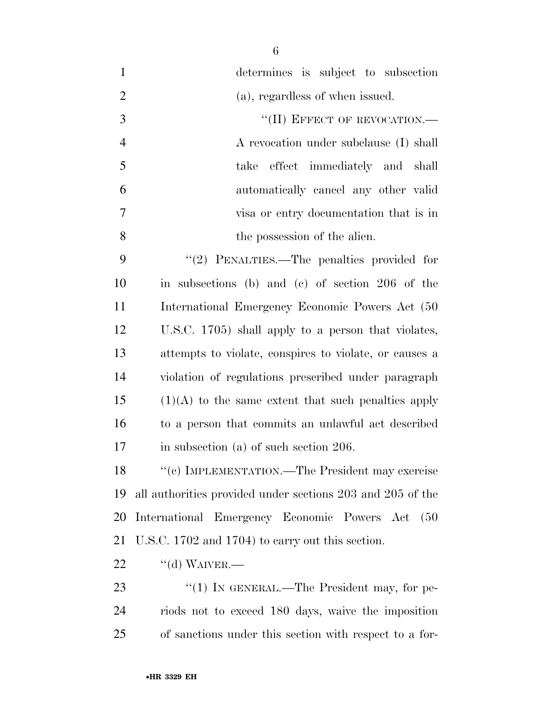| $\mathbf{1}$   | determines is subject to subsection                        |
|----------------|------------------------------------------------------------|
| $\overline{2}$ | (a), regardless of when issued.                            |
| 3              | "(II) EFFECT OF REVOCATION.-                               |
| $\overline{4}$ | A revocation under subclause (I) shall                     |
| 5              | take effect immediately and shall                          |
| 6              | automatically cancel any other valid                       |
| $\overline{7}$ | visa or entry documentation that is in                     |
| 8              | the possession of the alien.                               |
| 9              | "(2) PENALTIES.—The penalties provided for                 |
| 10             | in subsections (b) and (c) of section 206 of the           |
| 11             | International Emergency Economic Powers Act (50)           |
| 12             | U.S.C. 1705) shall apply to a person that violates,        |
| 13             | attempts to violate, conspires to violate, or causes a     |
| 14             | violation of regulations prescribed under paragraph        |
| 15             | $(1)(A)$ to the same extent that such penalties apply      |
| 16             | to a person that commits an unlawful act described         |
| 17             | in subsection $(a)$ of such section 206.                   |
| 18             | "(c) IMPLEMENTATION.—The President may exercise            |
| 19             | all authorities provided under sections 203 and 205 of the |
| 20             | International Emergency Economic Powers Act<br>(50)        |
| 21             | U.S.C. 1702 and 1704) to carry out this section.           |
| 22             | $``$ (d) WAIVER.—                                          |
| 23             | $\lq(1)$ In GENERAL.—The President may, for pe-            |
| 24             | riods not to exceed 180 days, waive the imposition         |
| 25             | of sanctions under this section with respect to a for-     |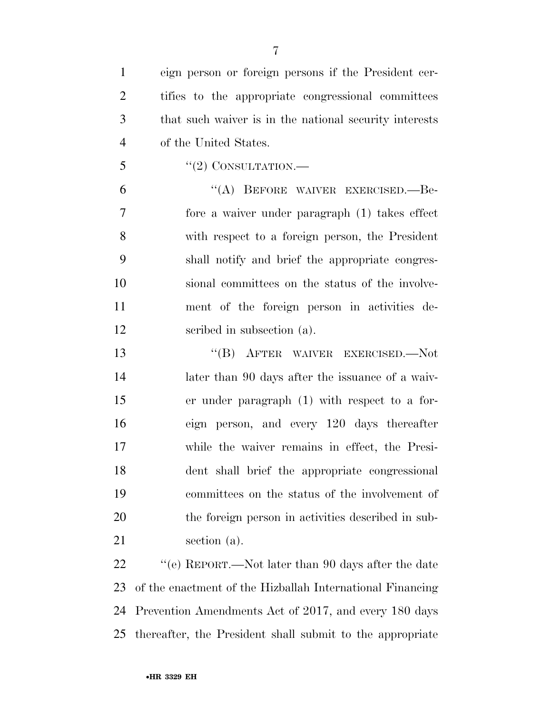eign person or foreign persons if the President cer- tifies to the appropriate congressional committees that such waiver is in the national security interests of the United States.

"(2) CONSULTATION.—

 ''(A) BEFORE WAIVER EXERCISED.—Be- fore a waiver under paragraph (1) takes effect with respect to a foreign person, the President shall notify and brief the appropriate congres- sional committees on the status of the involve- ment of the foreign person in activities de-scribed in subsection (a).

 ''(B) AFTER WAIVER EXERCISED.—Not 14 later than 90 days after the issuance of a waiv- er under paragraph (1) with respect to a for- eign person, and every 120 days thereafter while the waiver remains in effect, the Presi- dent shall brief the appropriate congressional committees on the status of the involvement of the foreign person in activities described in sub-section (a).

22 ''(e) REPORT.—Not later than 90 days after the date of the enactment of the Hizballah International Financing Prevention Amendments Act of 2017, and every 180 days thereafter, the President shall submit to the appropriate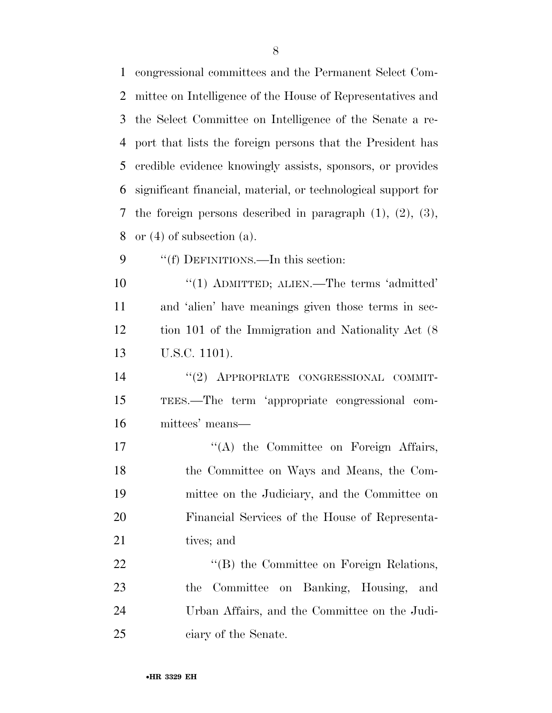congressional committees and the Permanent Select Com- mittee on Intelligence of the House of Representatives and the Select Committee on Intelligence of the Senate a re- port that lists the foreign persons that the President has credible evidence knowingly assists, sponsors, or provides significant financial, material, or technological support for the foreign persons described in paragraph (1), (2), (3), or (4) of subsection (a). 9 ""(f) DEFINITIONS.—In this section: 10 "(1) ADMITTED; ALIEN.—The terms 'admitted' and 'alien' have meanings given those terms in sec- tion 101 of the Immigration and Nationality Act (8 U.S.C. 1101).

14 "(2) APPROPRIATE CONGRESSIONAL COMMIT- TEES.—The term 'appropriate congressional com-mittees' means—

 $\langle (A)$  the Committee on Foreign Affairs, the Committee on Ways and Means, the Com- mittee on the Judiciary, and the Committee on Financial Services of the House of Representa-21 tives; and

22 "'(B) the Committee on Foreign Relations, the Committee on Banking, Housing, and Urban Affairs, and the Committee on the Judi-ciary of the Senate.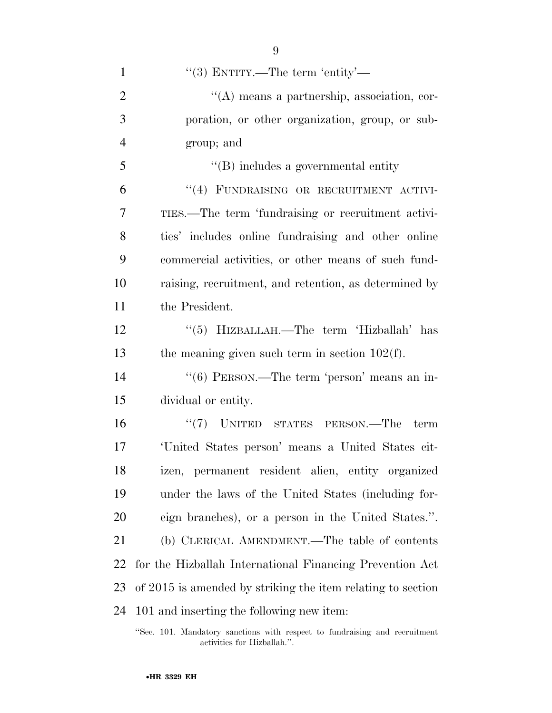| $\mathbf{1}$   | "(3) ENTITY.—The term 'entity'—                             |
|----------------|-------------------------------------------------------------|
| $\overline{2}$ | $\lq\lq$ means a partnership, association, cor-             |
| 3              | poration, or other organization, group, or sub-             |
| $\overline{4}$ | group; and                                                  |
| 5              | $\lq\lq (B)$ includes a governmental entity                 |
| 6              | "(4) FUNDRAISING OR RECRUITMENT ACTIVI-                     |
| 7              | TIES.—The term 'fundraising or recruitment activi-          |
| 8              | ties' includes online fundraising and other online          |
| 9              | commercial activities, or other means of such fund-         |
| 10             | raising, recruitment, and retention, as determined by       |
| 11             | the President.                                              |
| 12             | "(5) HIZBALLAH.—The term 'Hizballah' has                    |
| 13             | the meaning given such term in section $102(f)$ .           |
| 14             | "(6) PERSON.—The term 'person' means an in-                 |
| 15             | dividual or entity.                                         |
| 16             | $``(7)$ UNITED STATES PERSON.—The<br>term                   |
| 17             | 'United States person' means a United States cit-           |
| 18             | izen, permanent resident alien, entity organized            |
| 19             | under the laws of the United States (including for-         |
| 20             | eign branches), or a person in the United States.".         |
| 21             | (b) CLERICAL AMENDMENT.—The table of contents               |
| 22             | for the Hizballah International Financing Prevention Act    |
| 23             | of 2015 is amended by striking the item relating to section |
| 24             | 101 and inserting the following new item:                   |
|                |                                                             |

<sup>&#</sup>x27;'Sec. 101. Mandatory sanctions with respect to fundraising and recruitment activities for Hizballah.''.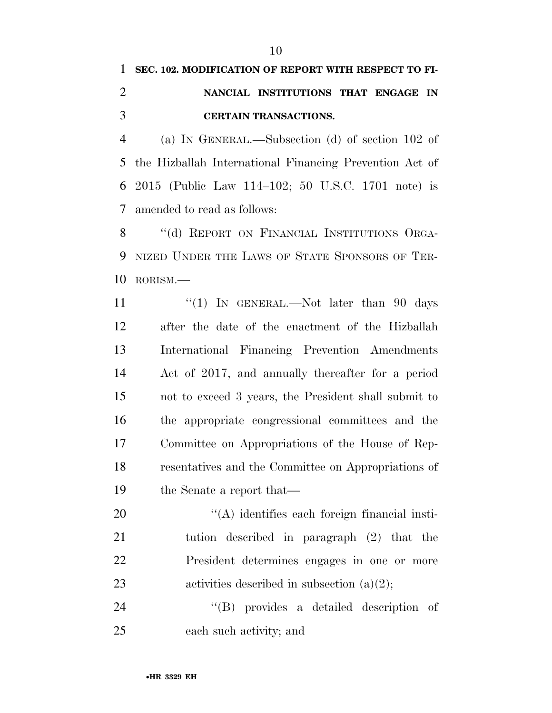## **SEC. 102. MODIFICATION OF REPORT WITH RESPECT TO FI- NANCIAL INSTITUTIONS THAT ENGAGE IN CERTAIN TRANSACTIONS.**

 (a) IN GENERAL.—Subsection (d) of section 102 of the Hizballah International Financing Prevention Act of 2015 (Public Law 114–102; 50 U.S.C. 1701 note) is amended to read as follows:

8 "(d) REPORT ON FINANCIAL INSTITUTIONS ORGA- NIZED UNDER THE LAWS OF STATE SPONSORS OF TER-RORISM.—

11 "(1) In GENERAL.—Not later than 90 days after the date of the enactment of the Hizballah International Financing Prevention Amendments Act of 2017, and annually thereafter for a period not to exceed 3 years, the President shall submit to the appropriate congressional committees and the Committee on Appropriations of the House of Rep- resentatives and the Committee on Appropriations of the Senate a report that—

 $\langle (A)$  identifies each foreign financial insti- tution described in paragraph (2) that the President determines engages in one or more 23 activities described in subsection (a)(2);

 ''(B) provides a detailed description of each such activity; and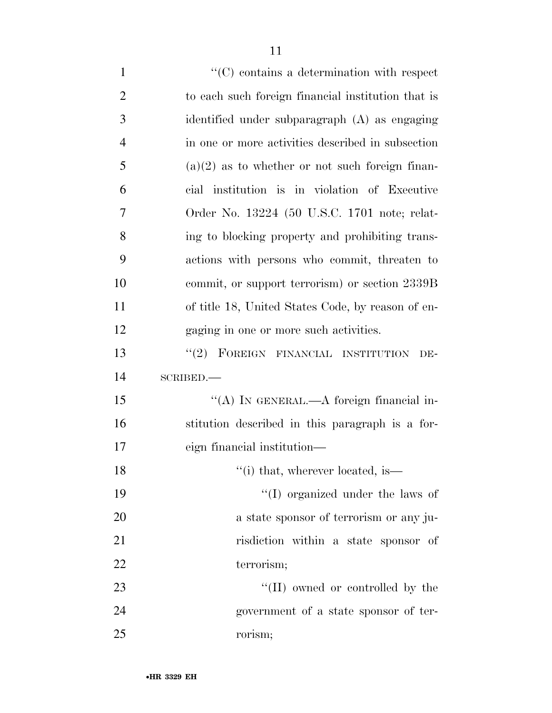| $\mathbf{1}$   | $\lq\lq$ contains a determination with respect     |
|----------------|----------------------------------------------------|
| $\overline{2}$ | to each such foreign financial institution that is |
| 3              | identified under subparagraph (A) as engaging      |
| $\overline{4}$ | in one or more activities described in subsection  |
| 5              | $(a)(2)$ as to whether or not such foreign finan-  |
| 6              | cial institution is in violation of Executive      |
| 7              | Order No. 13224 (50 U.S.C. 1701 note; relat-       |
| 8              | ing to blocking property and prohibiting trans-    |
| 9              | actions with persons who commit, threaten to       |
| 10             | commit, or support terrorism) or section 2339B     |
| 11             | of title 18, United States Code, by reason of en-  |
| 12             | gaging in one or more such activities.             |
| 13             | "(2) FOREIGN FINANCIAL INSTITUTION<br>DE-          |
| 14             | SCRIBED.                                           |
| 15             | "(A) IN GENERAL.—A foreign financial in-           |
| 16             | stitution described in this paragraph is a for-    |
| 17             | eign financial institution-                        |
| 18             | "(i) that, wherever located, is                    |
| 19             | $\lq\lq$ (I) organized under the laws of           |
| 20             | a state sponsor of terrorism or any ju-            |
| 21             | risdiction within a state sponsor of               |
| 22             | terrorism;                                         |
| 23             | $\lq\lq$ (II) owned or controlled by the           |
| 24             | government of a state sponsor of ter-              |
|                |                                                    |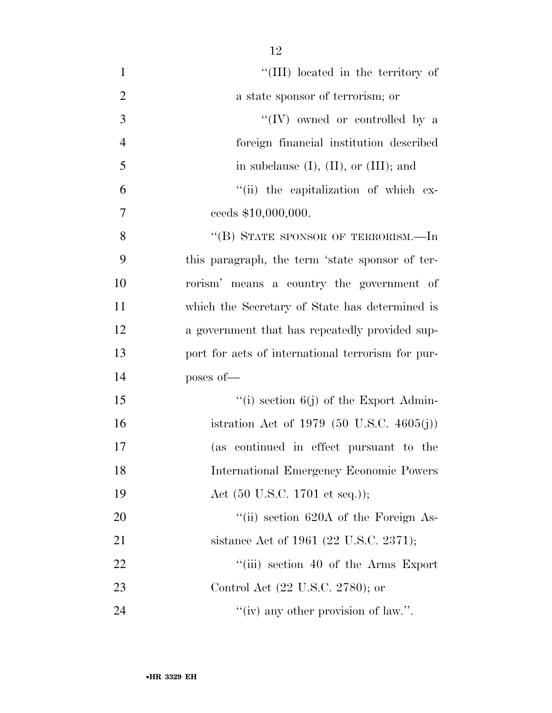| $\mathbf{1}$   | "(III) located in the territory of                   |
|----------------|------------------------------------------------------|
| $\overline{2}$ | a state sponsor of terrorism; or                     |
| $\overline{3}$ | "(IV) owned or controlled by a                       |
| $\overline{4}$ | foreign financial institution described              |
| 5              | in subclause $(I)$ , $(II)$ , or $(III)$ ; and       |
| 6              | "(ii) the capitalization of which ex-                |
| 7              | ceeds \$10,000,000.                                  |
| 8              | "(B) STATE SPONSOR OF TERRORISM.—In                  |
| 9              | this paragraph, the term 'state sponsor of ter-      |
| 10             | rorism' means a country the government of            |
| 11             | which the Secretary of State has determined is       |
| 12             | a government that has repeatedly provided sup-       |
| 13             | port for acts of international terrorism for pur-    |
| 14             | poses of-                                            |
| 15             | "(i) section $6(j)$ of the Export Admin-             |
| 16             | istration Act of 1979 $(50 \text{ U.S.C. } 4605(j))$ |
| 17             | (as continued in effect pursuant to the              |
| 18             | <b>International Emergency Economic Powers</b>       |
| 19             | Act $(50 \text{ U.S.C. } 1701 \text{ et seq.}));$    |
| 20             | "(ii) section $620A$ of the Foreign As-              |
| 21             | sistance Act of 1961 (22 U.S.C. 2371);               |
| 22             | "(iii) section 40 of the Arms Export                 |
| 23             | Control Act (22 U.S.C. 2780); or                     |
| 24             | "(iv) any other provision of law.".                  |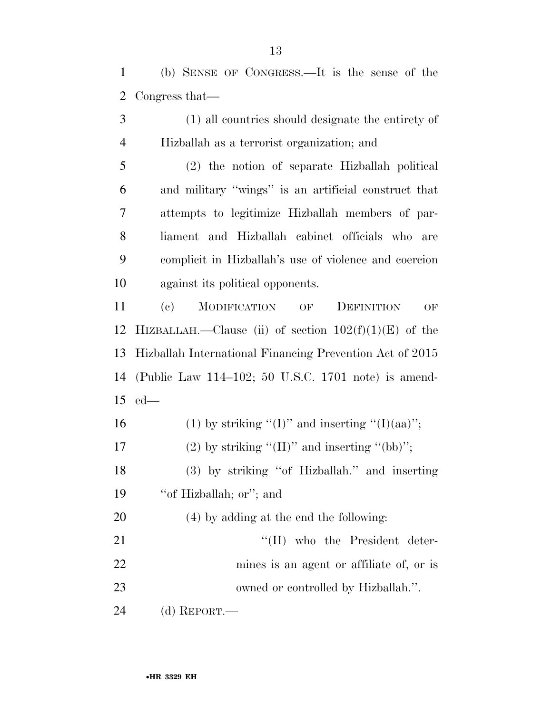(b) SENSE OF CONGRESS.—It is the sense of the Congress that—

 (1) all countries should designate the entirety of Hizballah as a terrorist organization; and

 (2) the notion of separate Hizballah political and military ''wings'' is an artificial construct that attempts to legitimize Hizballah members of par- liament and Hizballah cabinet officials who are complicit in Hizballah's use of violence and coercion against its political opponents.

 (c) MODIFICATION OF DEFINITION OF 12 HIZBALLAH.—Clause (ii) of section  $102(f)(1)(E)$  of the Hizballah International Financing Prevention Act of 2015 (Public Law 114–102; 50 U.S.C. 1701 note) is amend-ed—

16 (1) by striking "(I)" and inserting "(I)(aa)"; 17 (2) by striking " $(II)$ " and inserting " $(bb)$ "; (3) by striking ''of Hizballah.'' and inserting ''of Hizballah; or''; and (4) by adding at the end the following: 21 ''(II) who the President deter- mines is an agent or affiliate of, or is 23 owned or controlled by Hizballah.".

(d) REPORT.—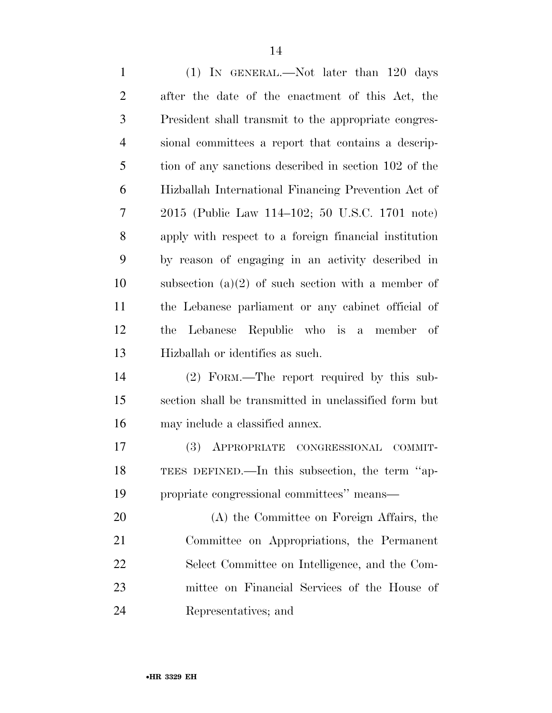| $\mathbf{1}$   | $(1)$ IN GENERAL.—Not later than 120 days             |
|----------------|-------------------------------------------------------|
| $\overline{2}$ | after the date of the enactment of this Act, the      |
| 3              | President shall transmit to the appropriate congres-  |
| $\overline{4}$ | sional committees a report that contains a descrip-   |
| 5              | tion of any sanctions described in section 102 of the |
| 6              | Hizballah International Financing Prevention Act of   |
| 7              | 2015 (Public Law 114-102; 50 U.S.C. 1701 note)        |
| 8              | apply with respect to a foreign financial institution |
| 9              | by reason of engaging in an activity described in     |
| 10             | subsection $(a)(2)$ of such section with a member of  |
| 11             | the Lebanese parliament or any cabinet official of    |
| 12             | Lebanese Republic who is a member of<br>the           |
| 13             | Hizballah or identifies as such.                      |
| 14             | (2) FORM.—The report required by this sub-            |
| 15             | section shall be transmitted in unclassified form but |
| 16             | may include a classified annex.                       |
| 17             | (3)<br>APPROPRIATE CONGRESSIONAL<br>COMMIT-           |
| 18             | TEES DEFINED.—In this subsection, the term "ap-       |
| 19             | propriate congressional committees" means-            |
| 20             | (A) the Committee on Foreign Affairs, the             |
| 21             | Committee on Appropriations, the Permanent            |
| 22             | Select Committee on Intelligence, and the Com-        |
| 23             | mittee on Financial Services of the House of          |
| 24             | Representatives; and                                  |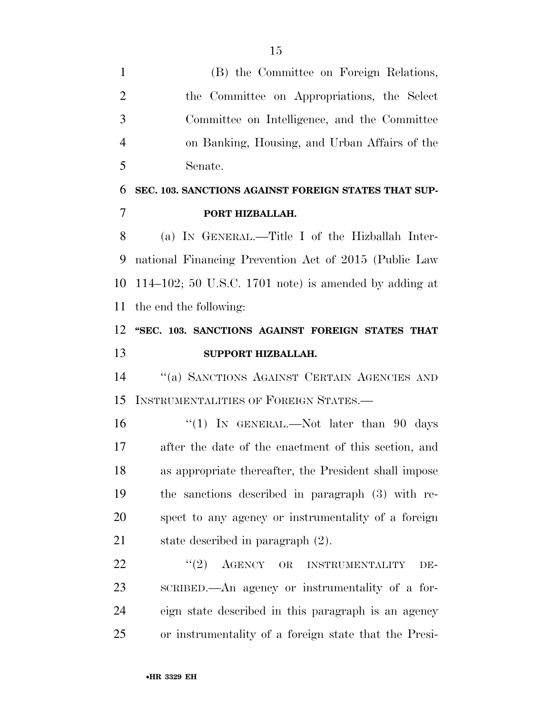(B) the Committee on Foreign Relations, the Committee on Appropriations, the Select Committee on Intelligence, and the Committee on Banking, Housing, and Urban Affairs of the Senate.

## **SEC. 103. SANCTIONS AGAINST FOREIGN STATES THAT SUP-PORT HIZBALLAH.**

 (a) IN GENERAL.—Title I of the Hizballah Inter- national Financing Prevention Act of 2015 (Public Law 114–102; 50 U.S.C. 1701 note) is amended by adding at the end the following:

## **''SEC. 103. SANCTIONS AGAINST FOREIGN STATES THAT SUPPORT HIZBALLAH.**

 ''(a) SANCTIONS AGAINST CERTAIN AGENCIES AND INSTRUMENTALITIES OF FOREIGN STATES.—

16 ''(1) In GENERAL.—Not later than 90 days after the date of the enactment of this section, and as appropriate thereafter, the President shall impose the sanctions described in paragraph (3) with re- spect to any agency or instrumentality of a foreign state described in paragraph (2).

22 "(2) AGENCY OR INSTRUMENTALITY DE- SCRIBED.—An agency or instrumentality of a for- eign state described in this paragraph is an agency or instrumentality of a foreign state that the Presi-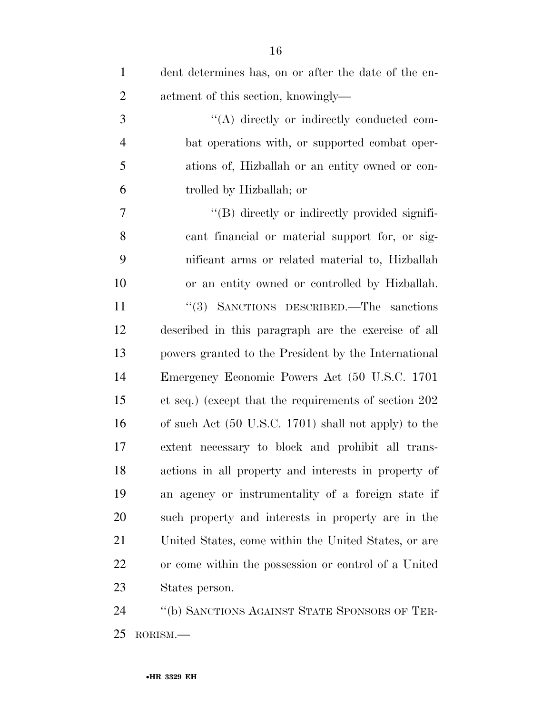| $\mathbf{1}$   | dent determines has, on or after the date of the en-            |
|----------------|-----------------------------------------------------------------|
| $\overline{2}$ | actment of this section, knowingly-                             |
| 3              | "(A) directly or indirectly conducted com-                      |
| $\overline{4}$ | bat operations with, or supported combat oper-                  |
| 5              | ations of, Hizballah or an entity owned or con-                 |
| 6              | trolled by Hizballah; or                                        |
| $\overline{7}$ | "(B) directly or indirectly provided signifi-                   |
| 8              | cant financial or material support for, or sig-                 |
| 9              | nificant arms or related material to, Hizballah                 |
| 10             | or an entity owned or controlled by Hizballah.                  |
| 11             | "(3) SANCTIONS DESCRIBED.—The sanctions                         |
| 12             | described in this paragraph are the exercise of all             |
| 13             | powers granted to the President by the International            |
| 14             | Emergency Economic Powers Act (50 U.S.C. 1701                   |
| 15             | et seq.) (except that the requirements of section 202)          |
| 16             | of such Act $(50 \text{ U.S.C. } 1701)$ shall not apply) to the |
| 17             | extent necessary to block and prohibit all trans-               |
| 18             | actions in all property and interests in property of            |
| 19             | an agency or instrumentality of a foreign state if              |
| 20             | such property and interests in property are in the              |
| 21             | United States, come within the United States, or are            |
| 22             | or come within the possession or control of a United            |
| 23             | States person.                                                  |
| 24             | "(b) SANCTIONS AGAINST STATE SPONSORS OF TER-                   |

RORISM.—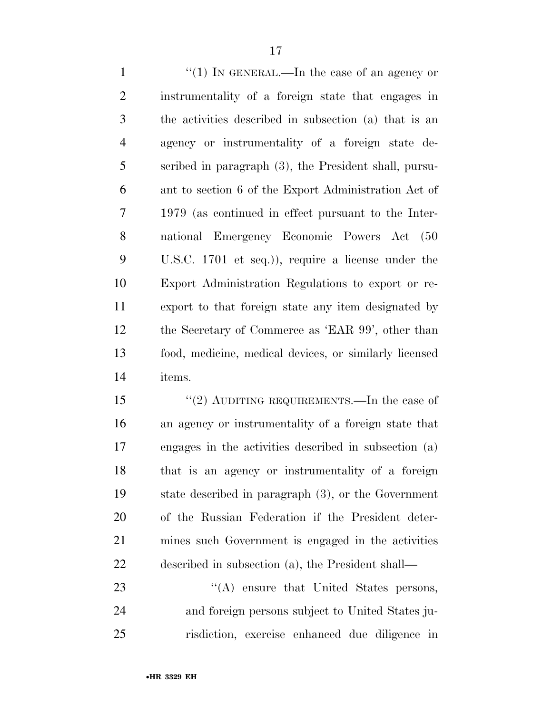$\frac{1}{1}$  In GENERAL.—In the case of an agency or instrumentality of a foreign state that engages in the activities described in subsection (a) that is an agency or instrumentality of a foreign state de- scribed in paragraph (3), the President shall, pursu- ant to section 6 of the Export Administration Act of 1979 (as continued in effect pursuant to the Inter- national Emergency Economic Powers Act (50 U.S.C. 1701 et seq.)), require a license under the Export Administration Regulations to export or re- export to that foreign state any item designated by the Secretary of Commerce as 'EAR 99', other than food, medicine, medical devices, or similarly licensed items.

15 "(2) AUDITING REQUIREMENTS.—In the case of an agency or instrumentality of a foreign state that engages in the activities described in subsection (a) that is an agency or instrumentality of a foreign state described in paragraph (3), or the Government of the Russian Federation if the President deter- mines such Government is engaged in the activities described in subsection (a), the President shall—

23 "(A) ensure that United States persons, and foreign persons subject to United States ju-risdiction, exercise enhanced due diligence in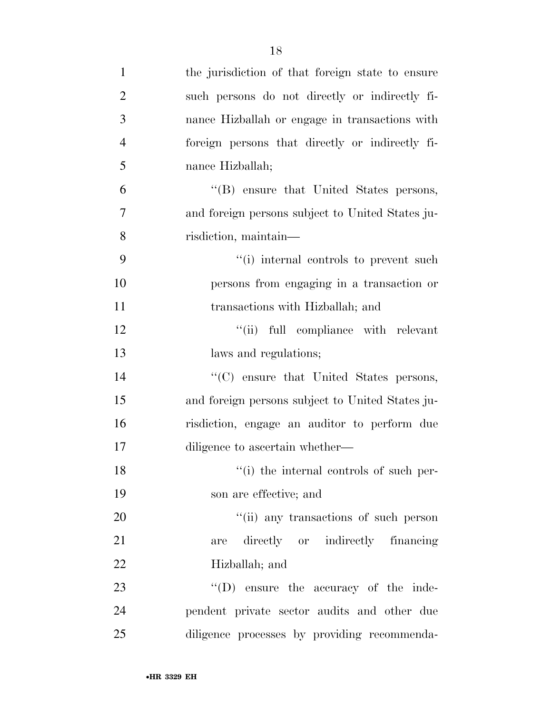| $\mathbf{1}$   | the jurisdiction of that foreign state to ensure |
|----------------|--------------------------------------------------|
| $\overline{2}$ | such persons do not directly or indirectly fi-   |
| 3              | nance Hizballah or engage in transactions with   |
| $\overline{4}$ | foreign persons that directly or indirectly fi-  |
| 5              | nance Hizballah;                                 |
| 6              | "(B) ensure that United States persons,          |
| $\overline{7}$ | and foreign persons subject to United States ju- |
| 8              | risdiction, maintain-                            |
| 9              | "(i) internal controls to prevent such           |
| 10             | persons from engaging in a transaction or        |
| 11             | transactions with Hizballah; and                 |
| 12             | "(ii) full compliance with relevant              |
| 13             | laws and regulations;                            |
| 14             | $\cdot$ (C) ensure that United States persons,   |
| 15             | and foreign persons subject to United States ju- |
| 16             | risdiction, engage an auditor to perform due     |
| 17             | diligence to ascertain whether—                  |
| 18             | "(i) the internal controls of such per-          |
| 19             | son are effective; and                           |
| 20             | "(ii) any transactions of such person            |
| 21             | directly or indirectly financing<br>are          |
| 22             | Hizballah; and                                   |
| 23             | "(D) ensure the accuracy of the inde-            |
| 24             | pendent private sector audits and other due      |
| 25             | diligence processes by providing recommenda-     |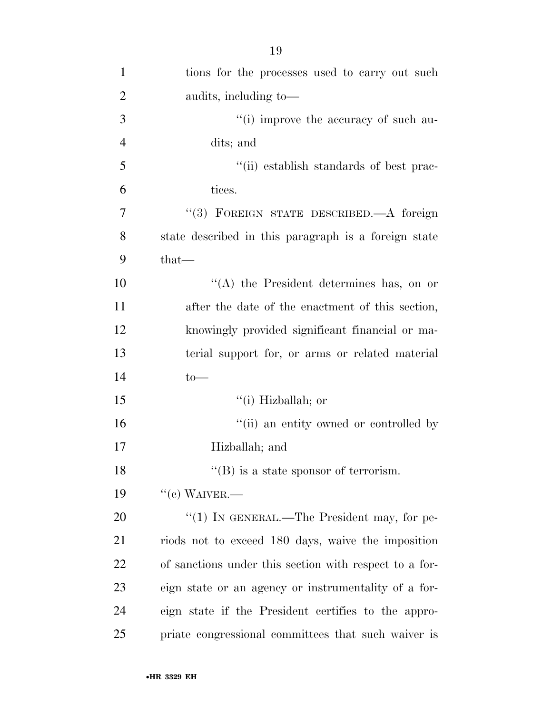| $\mathbf{1}$   | tions for the processes used to carry out such         |
|----------------|--------------------------------------------------------|
| $\overline{2}$ | audits, including to—                                  |
| 3              | "(i) improve the accuracy of such au-                  |
| $\overline{4}$ | dits; and                                              |
| 5              | "(ii) establish standards of best prac-                |
| 6              | tices.                                                 |
| $\overline{7}$ | "(3) FOREIGN STATE DESCRIBED.—A foreign                |
| 8              | state described in this paragraph is a foreign state   |
| 9              | $that-$                                                |
| 10             | "(A) the President determines has, on or               |
| 11             | after the date of the enactment of this section,       |
| 12             | knowingly provided significant financial or ma-        |
| 13             | terial support for, or arms or related material        |
| 14             | $to-$                                                  |
| 15             | $``(i)$ Hizballah; or                                  |
| 16             | "(ii) an entity owned or controlled by                 |
| 17             | Hizballah; and                                         |
| 18             | $\lq\lq$ (B) is a state sponsor of terrorism.          |
| 19             | $``(e)$ WAIVER.—                                       |
| 20             | "(1) IN GENERAL.—The President may, for pe-            |
| 21             | riods not to exceed 180 days, waive the imposition     |
| 22             | of sanctions under this section with respect to a for- |
| 23             | eign state or an agency or instrumentality of a for-   |
| 24             | eign state if the President certifies to the appro-    |
| 25             | priate congressional committees that such waiver is    |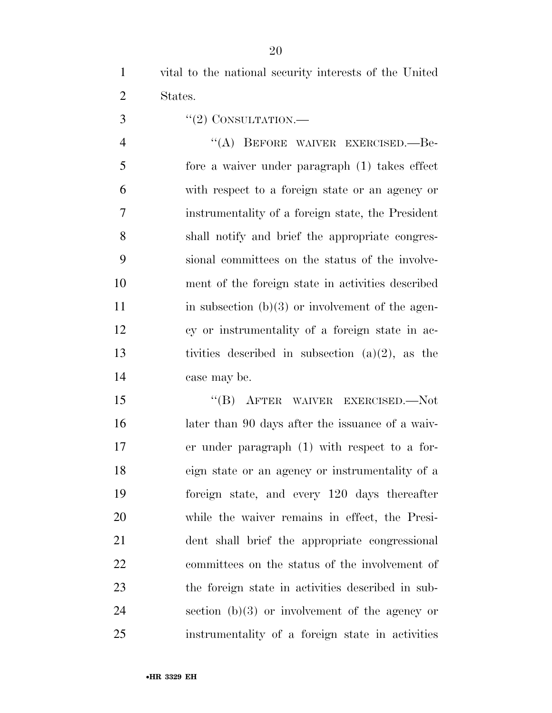vital to the national security interests of the United States.

 $\frac{3}{2}$  ''(2) CONSULTATION.

4 "(A) BEFORE WAIVER EXERCISED.—Be- fore a waiver under paragraph (1) takes effect with respect to a foreign state or an agency or instrumentality of a foreign state, the President shall notify and brief the appropriate congres- sional committees on the status of the involve- ment of the foreign state in activities described 11 in subsection  $(b)(3)$  or involvement of the agen- cy or instrumentality of a foreign state in ac-13 tivities described in subsection  $(a)(2)$ , as the case may be.

 ''(B) AFTER WAIVER EXERCISED.—Not later than 90 days after the issuance of a waiv- er under paragraph (1) with respect to a for- eign state or an agency or instrumentality of a foreign state, and every 120 days thereafter while the waiver remains in effect, the Presi- dent shall brief the appropriate congressional committees on the status of the involvement of the foreign state in activities described in sub- section (b)(3) or involvement of the agency or instrumentality of a foreign state in activities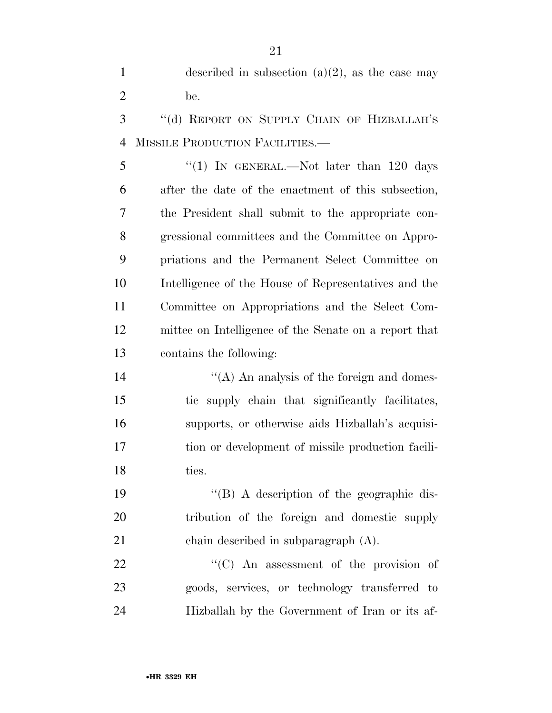1 described in subsection  $(a)(2)$ , as the case may be. 3 "(d) REPORT ON SUPPLY CHAIN OF HIZBALLAH'S MISSILE PRODUCTION FACILITIES.— 5 "(1) IN GENERAL.—Not later than 120 days after the date of the enactment of this subsection, the President shall submit to the appropriate con- gressional committees and the Committee on Appro- priations and the Permanent Select Committee on Intelligence of the House of Representatives and the Committee on Appropriations and the Select Com- mittee on Intelligence of the Senate on a report that contains the following: 14 ''(A) An analysis of the foreign and domes- tic supply chain that significantly facilitates, supports, or otherwise aids Hizballah's acquisi- tion or development of missile production facili- ties. ''(B) A description of the geographic dis- tribution of the foreign and domestic supply chain described in subparagraph (A).  $\text{``(C)}$  An assessment of the provision of

 goods, services, or technology transferred to Hizballah by the Government of Iran or its af-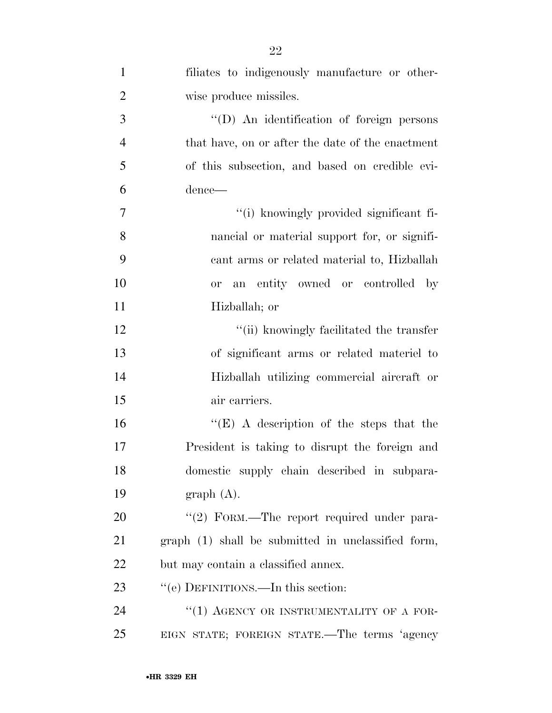| $\mathbf{1}$   | filiates to indigenously manufacture or other-     |
|----------------|----------------------------------------------------|
| $\overline{2}$ | wise produce missiles.                             |
| 3              | "(D) An identification of foreign persons          |
| $\overline{4}$ | that have, on or after the date of the enactment   |
| 5              | of this subsection, and based on credible evi-     |
| 6              | dence—                                             |
| 7              | "(i) knowingly provided significant fi-            |
| 8              | nancial or material support for, or signifi-       |
| 9              | cant arms or related material to, Hizballah        |
| 10             | entity owned or controlled by<br><b>or</b><br>an   |
| 11             | Hizballah; or                                      |
| 12             | "(ii) knowingly facilitated the transfer           |
| 13             | of significant arms or related materiel to         |
| 14             | Hizballah utilizing commercial aircraft or         |
| 15             | air carriers.                                      |
| 16             | " $(E)$ A description of the steps that the        |
| 17             | President is taking to disrupt the foreign and     |
| 18             | domestic supply chain described in subpara-        |
| 19             | graph(A).                                          |
| 20             | "(2) FORM.—The report required under para-         |
| 21             | graph (1) shall be submitted in unclassified form, |
| 22             | but may contain a classified annex.                |
| 23             | "(e) DEFINITIONS.—In this section:                 |
| 24             | "(1) AGENCY OR INSTRUMENTALITY OF A FOR-           |
| 25             | EIGN STATE; FOREIGN STATE.—The terms 'agency       |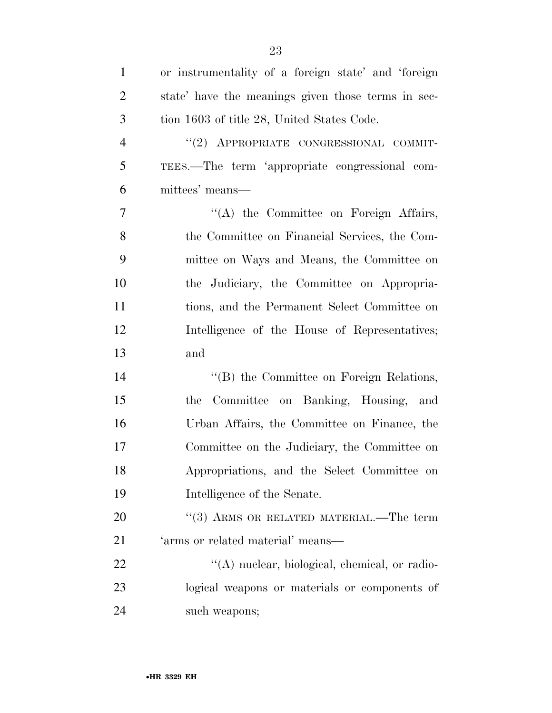| $\mathbf{1}$   | or instrumentality of a foreign state' and 'foreign |
|----------------|-----------------------------------------------------|
| $\overline{2}$ | state' have the meanings given those terms in sec-  |
| 3              | tion 1603 of title 28, United States Code.          |
| $\overline{4}$ | "(2) APPROPRIATE CONGRESSIONAL COMMIT-              |
| 5              | TEES.—The term 'appropriate congressional com-      |
| 6              | mittees' means—                                     |
| $\overline{7}$ | "(A) the Committee on Foreign Affairs,              |
| 8              | the Committee on Financial Services, the Com-       |
| 9              | mittee on Ways and Means, the Committee on          |
| 10             | the Judiciary, the Committee on Appropria-          |
| 11             | tions, and the Permanent Select Committee on        |
| 12             | Intelligence of the House of Representatives;       |
| 13             | and                                                 |
| 14             | "(B) the Committee on Foreign Relations,            |
| 15             | Committee on Banking, Housing, and<br>the           |
| 16             | Urban Affairs, the Committee on Finance, the        |
| 17             | Committee on the Judiciary, the Committee on        |
| 18             | Appropriations, and the Select Committee on         |
| 19             | Intelligence of the Senate.                         |
| 20             | $(3)$ ARMS OR RELATED MATERIAL.—The term            |
| 21             | 'arms or related material' means-                   |
| 22             | $\lq\lq$ nuclear, biological, chemical, or radio-   |
| 23             | logical weapons or materials or components of       |
| 24             | such weapons;                                       |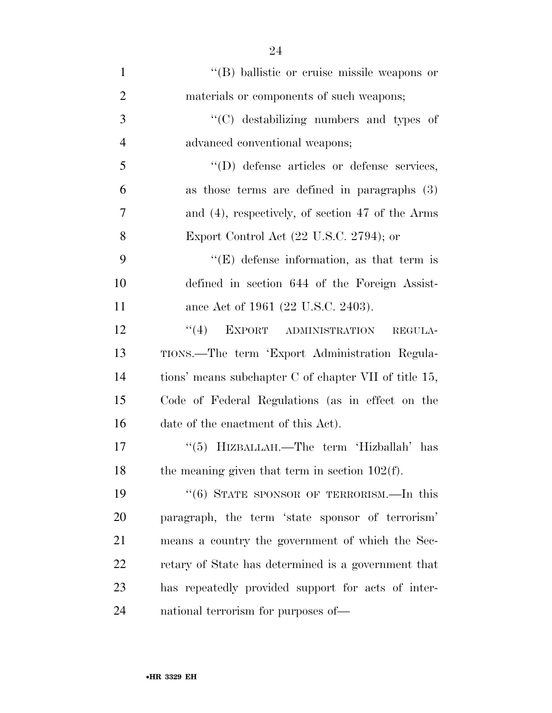| $\mathbf{1}$   | "(B) ballistic or cruise missile weapons or           |
|----------------|-------------------------------------------------------|
| $\overline{2}$ | materials or components of such weapons;              |
| 3              | "(C) destabilizing numbers and types of               |
| $\overline{4}$ | advanced conventional weapons;                        |
| 5              | "(D) defense articles or defense services,            |
| 6              | as those terms are defined in paragraphs $(3)$        |
| $\overline{7}$ | and (4), respectively, of section 47 of the Arms      |
| 8              | Export Control Act $(22 \text{ U.S.C. } 2794)$ ; or   |
| 9              | $\lq\lq(E)$ defense information, as that term is      |
| 10             | defined in section 644 of the Foreign Assist-         |
| 11             | ance Act of 1961 (22 U.S.C. 2403).                    |
| 12             | $\lq(4)$ EXPORT ADMINISTRATION<br>REGULA-             |
| 13             | TIONS.—The term 'Export Administration Regula-        |
| 14             | tions' means subchapter C of chapter VII of title 15, |
| 15             | Code of Federal Regulations (as in effect on the      |
| 16             | date of the enactment of this Act).                   |
| 17             | "(5) HIZBALLAH.—The term 'Hizballah' has              |
| 18             | the meaning given that term in section $102(f)$ .     |
| 19             | "(6) STATE SPONSOR OF TERRORISM.—In this              |
| 20             | paragraph, the term 'state sponsor of terrorism'      |
| 21             | means a country the government of which the Sec-      |
| <u>22</u>      | retary of State has determined is a government that   |
| 23             | has repeatedly provided support for acts of inter-    |
| 24             | national terrorism for purposes of—                   |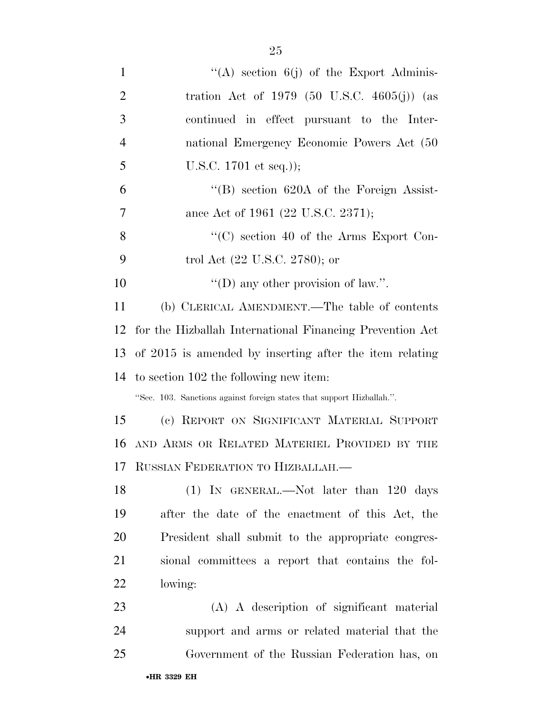| $\mathbf{1}$   | "(A) section $6(j)$ of the Export Adminis-                            |
|----------------|-----------------------------------------------------------------------|
| $\overline{2}$ | tration Act of 1979 (50 U.S.C. 4605(j)) (as                           |
| 3              | continued in effect pursuant to the Inter-                            |
| $\overline{4}$ | national Emergency Economic Powers Act (50                            |
| 5              | U.S.C. $1701$ et seq.));                                              |
| 6              | $\lq\lq (B)$ section 620A of the Foreign Assist-                      |
| $\overline{7}$ | ance Act of 1961 (22 U.S.C. 2371);                                    |
| 8              | "(C) section 40 of the Arms Export Con-                               |
| 9              | trol Act (22 U.S.C. 2780); or                                         |
| 10             | "(D) any other provision of law.".                                    |
| 11             | (b) CLERICAL AMENDMENT.—The table of contents                         |
| 12             | for the Hizballah International Financing Prevention Act              |
|                | 13 of 2015 is amended by inserting after the item relating            |
|                | 14 to section 102 the following new item:                             |
|                | "Sec. 103. Sanctions against foreign states that support Hizballah.". |
| 15             | (c) REPORT ON SIGNIFICANT MATERIAL SUPPORT                            |
| 16             | AND ARMS OR RELATED MATERIEL PROVIDED BY THE                          |
|                | 17 RUSSIAN FEDERATION TO HIZBALLAH.-                                  |
| 18             | $(1)$ IN GENERAL.—Not later than 120 days                             |
| 19             | after the date of the enactment of this Act, the                      |
| 20             | President shall submit to the appropriate congres-                    |
| 21             | sional committees a report that contains the fol-                     |
| 22             | lowing:                                                               |
| 23             | (A) A description of significant material                             |
| 24             | support and arms or related material that the                         |
| 25             | Government of the Russian Federation has, on                          |
|                | •HR 3329 EH                                                           |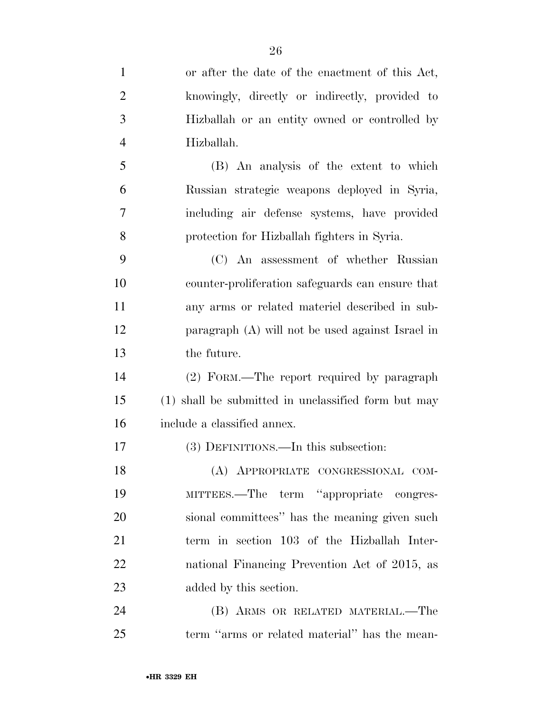| $\mathbf{1}$   | or after the date of the enactment of this Act,     |
|----------------|-----------------------------------------------------|
| $\overline{2}$ | knowingly, directly or indirectly, provided to      |
| 3              | Hizballah or an entity owned or controlled by       |
| $\overline{4}$ | Hizballah.                                          |
| 5              | (B) An analysis of the extent to which              |
| 6              | Russian strategic weapons deployed in Syria,        |
| 7              | including air defense systems, have provided        |
| 8              | protection for Hizballah fighters in Syria.         |
| 9              | (C) An assessment of whether Russian                |
| 10             | counter-proliferation safeguards can ensure that    |
| 11             | any arms or related material described in sub-      |
| 12             | paragraph (A) will not be used against Israel in    |
| 13             | the future.                                         |
| 14             | (2) FORM.—The report required by paragraph          |
| 15             | (1) shall be submitted in unclassified form but may |
| 16             | include a classified annex.                         |
| 17             | (3) DEFINITIONS.—In this subsection:                |
| 18             | (A) APPROPRIATE CONGRESSIONAL COM-                  |
| 19             | MITTEES.—The term "appropriate congres-             |
| 20             | sional committees" has the meaning given such       |
| 21             | term in section 103 of the Hizballah Inter-         |
| 22             | national Financing Prevention Act of 2015, as       |
| 23             | added by this section.                              |
| 24             | (B) ARMS OR RELATED MATERIAL.—The                   |
| 25             | term "arms or related material" has the mean-       |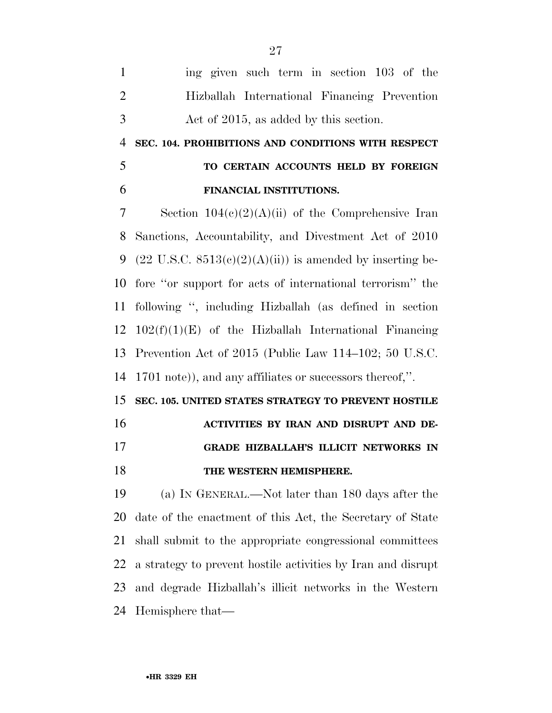| $\overline{1}$              | ing given such term in section 103 of the            |
|-----------------------------|------------------------------------------------------|
| $\mathcal{D}_{\mathcal{L}}$ | Hizballah International Financing Prevention         |
| -3                          | Act of 2015, as added by this section.               |
|                             | 4 SEC. 104. PROHIBITIONS AND CONDITIONS WITH RESPECT |

## **TO CERTAIN ACCOUNTS HELD BY FOREIGN FINANCIAL INSTITUTIONS.**

 Section 104(c)(2)(A)(ii) of the Comprehensive Iran Sanctions, Accountability, and Divestment Act of 2010 9 (22 U.S.C.  $8513(c)(2)(A)(ii)$ ) is amended by inserting be- fore ''or support for acts of international terrorism'' the following '', including Hizballah (as defined in section  $102(f)(1)(E)$  of the Hizballah International Financing Prevention Act of 2015 (Public Law 114–102; 50 U.S.C. 1701 note)), and any affiliates or successors thereof,''.

**SEC. 105. UNITED STATES STRATEGY TO PREVENT HOSTILE** 

**ACTIVITIES BY IRAN AND DISRUPT AND DE-**

#### **GRADE HIZBALLAH'S ILLICIT NETWORKS IN**

#### **THE WESTERN HEMISPHERE.**

 (a) IN GENERAL.—Not later than 180 days after the date of the enactment of this Act, the Secretary of State shall submit to the appropriate congressional committees a strategy to prevent hostile activities by Iran and disrupt and degrade Hizballah's illicit networks in the Western Hemisphere that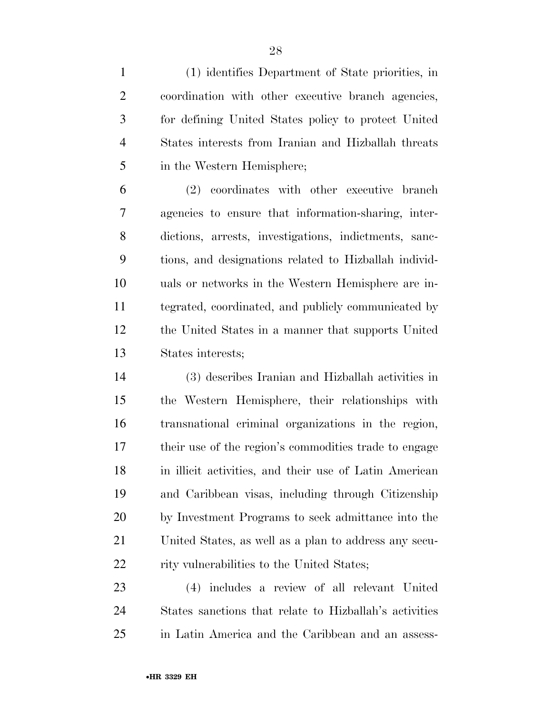(1) identifies Department of State priorities, in coordination with other executive branch agencies, for defining United States policy to protect United States interests from Iranian and Hizballah threats in the Western Hemisphere;

 (2) coordinates with other executive branch agencies to ensure that information-sharing, inter- dictions, arrests, investigations, indictments, sanc- tions, and designations related to Hizballah individ- uals or networks in the Western Hemisphere are in- tegrated, coordinated, and publicly communicated by the United States in a manner that supports United States interests;

 (3) describes Iranian and Hizballah activities in the Western Hemisphere, their relationships with transnational criminal organizations in the region, their use of the region's commodities trade to engage in illicit activities, and their use of Latin American and Caribbean visas, including through Citizenship by Investment Programs to seek admittance into the United States, as well as a plan to address any secu-22 rity vulnerabilities to the United States;

 (4) includes a review of all relevant United States sanctions that relate to Hizballah's activities in Latin America and the Caribbean and an assess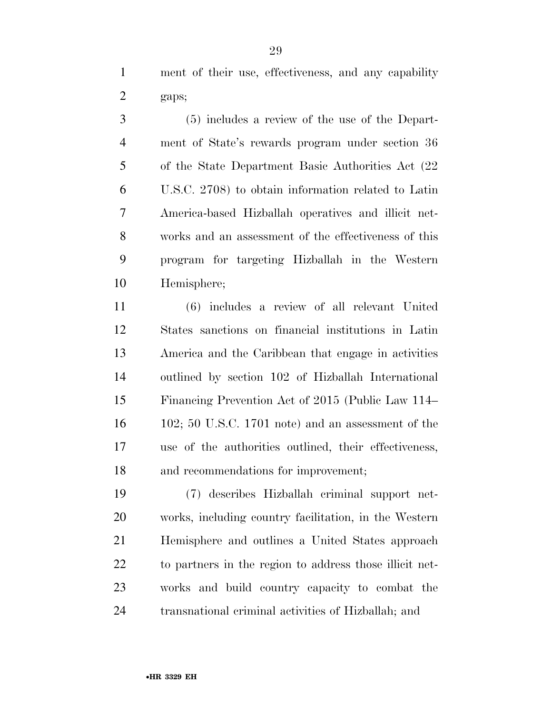ment of their use, effectiveness, and any capability gaps;

 (5) includes a review of the use of the Depart- ment of State's rewards program under section 36 of the State Department Basic Authorities Act (22 U.S.C. 2708) to obtain information related to Latin America-based Hizballah operatives and illicit net- works and an assessment of the effectiveness of this program for targeting Hizballah in the Western Hemisphere;

 (6) includes a review of all relevant United States sanctions on financial institutions in Latin America and the Caribbean that engage in activities outlined by section 102 of Hizballah International Financing Prevention Act of 2015 (Public Law 114– 102; 50 U.S.C. 1701 note) and an assessment of the use of the authorities outlined, their effectiveness, and recommendations for improvement;

 (7) describes Hizballah criminal support net- works, including country facilitation, in the Western Hemisphere and outlines a United States approach to partners in the region to address those illicit net- works and build country capacity to combat the transnational criminal activities of Hizballah; and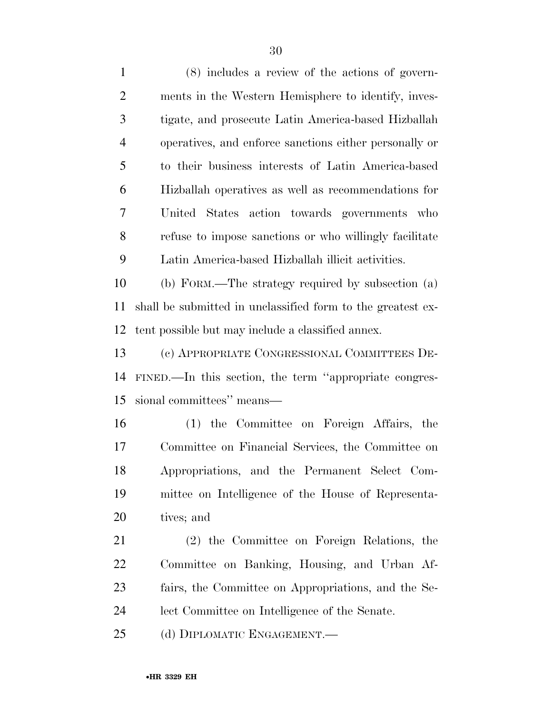(8) includes a review of the actions of govern- ments in the Western Hemisphere to identify, inves- tigate, and prosecute Latin America-based Hizballah operatives, and enforce sanctions either personally or to their business interests of Latin America-based Hizballah operatives as well as recommendations for United States action towards governments who refuse to impose sanctions or who willingly facilitate Latin America-based Hizballah illicit activities. (b) FORM.—The strategy required by subsection (a) shall be submitted in unclassified form to the greatest ex-

tent possible but may include a classified annex.

 (c) APPROPRIATE CONGRESSIONAL COMMITTEES DE- FINED.—In this section, the term ''appropriate congres-sional committees'' means—

 (1) the Committee on Foreign Affairs, the Committee on Financial Services, the Committee on Appropriations, and the Permanent Select Com- mittee on Intelligence of the House of Representa-tives; and

 (2) the Committee on Foreign Relations, the Committee on Banking, Housing, and Urban Af- fairs, the Committee on Appropriations, and the Se-lect Committee on Intelligence of the Senate.

(d) DIPLOMATIC ENGAGEMENT.—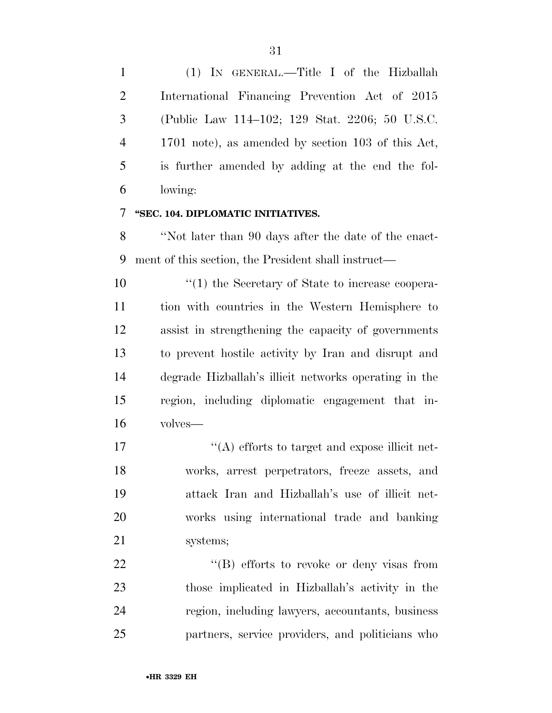(1) IN GENERAL.—Title I of the Hizballah International Financing Prevention Act of 2015 (Public Law 114–102; 129 Stat. 2206; 50 U.S.C. 1701 note), as amended by section 103 of this Act, is further amended by adding at the end the fol-lowing:

#### **''SEC. 104. DIPLOMATIC INITIATIVES.**

 ''Not later than 90 days after the date of the enact-ment of this section, the President shall instruct—

 $\frac{1}{2}$  (1) the Secretary of State to increase coopera- tion with countries in the Western Hemisphere to assist in strengthening the capacity of governments to prevent hostile activity by Iran and disrupt and degrade Hizballah's illicit networks operating in the region, including diplomatic engagement that in-volves—

 $\langle (A)$  efforts to target and expose illicit net- works, arrest perpetrators, freeze assets, and attack Iran and Hizballah's use of illicit net- works using international trade and banking systems;

22 "'(B) efforts to revoke or deny visas from those implicated in Hizballah's activity in the region, including lawyers, accountants, business partners, service providers, and politicians who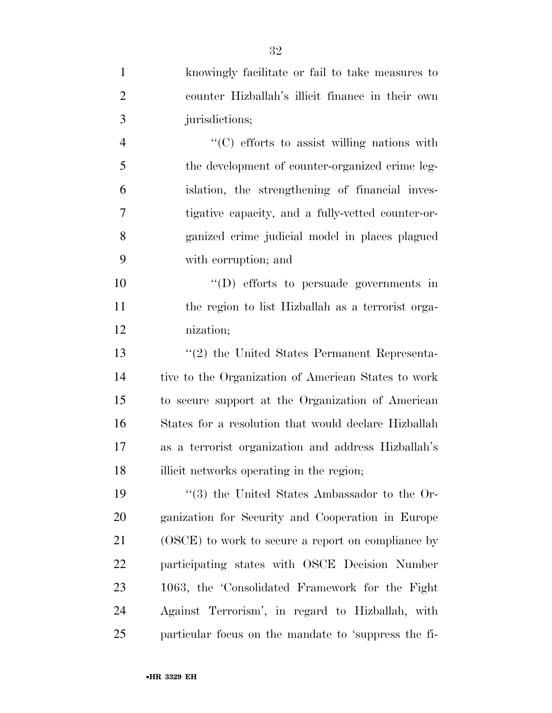| $\mathbf{1}$ | knowingly facilitate or fail to take measures to     |
|--------------|------------------------------------------------------|
| 2            | counter Hizballah's illicit finance in their own     |
| 3            | jurisdictions;                                       |
| 4            | "(C) efforts to assist willing nations with          |
| 5            | the development of counter-organized crime leg-      |
| 6            | islation, the strengthening of financial inves-      |
| 7            | tigative capacity, and a fully-vetted counter-or-    |
| 8            | ganized crime judicial model in places plagued       |
| 9            | with corruption; and                                 |
| 10           | $\lq\lq$ (D) efforts to persuade governments in      |
| 11           | the region to list Hizballah as a terrorist orga-    |
| 12           | nization;                                            |
| 13           | "(2) the United States Permanent Representa-         |
| 14           | tive to the Organization of American States to work  |
| 15           | to secure support at the Organization of American    |
| 16           | States for a resolution that would declare Hizballah |
| 17           | as a terrorist organization and address Hizballah's  |
| 18           | illicit networks operating in the region;            |
| 19           | $\cdot$ (3) the United States Ambassador to the Or-  |
| 20           | ganization for Security and Cooperation in Europe    |
| 21           | (OSCE) to work to secure a report on compliance by   |
| 22           | participating states with OSCE Decision Number       |
| 23           | 1063, the 'Consolidated Framework for the Fight      |
| 24           | Against Terrorism', in regard to Hizballah, with     |
| 25           | particular focus on the mandate to 'suppress the fi- |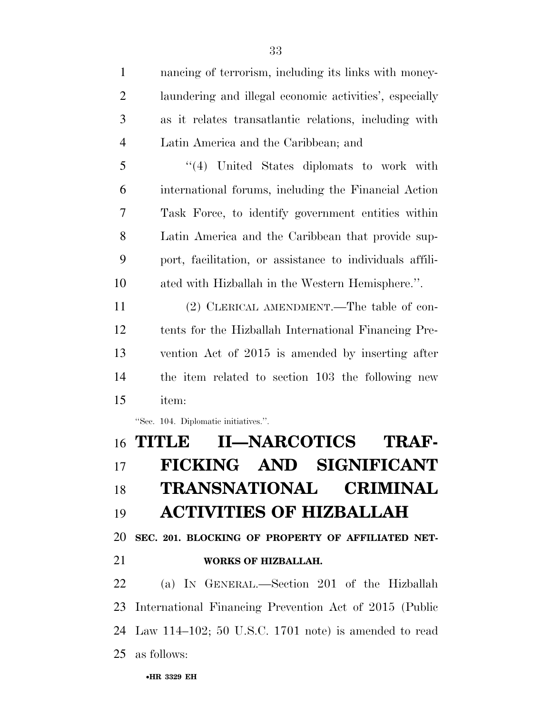nancing of terrorism, including its links with money- laundering and illegal economic activities', especially as it relates transatlantic relations, including with Latin America and the Caribbean; and

 ''(4) United States diplomats to work with international forums, including the Financial Action Task Force, to identify government entities within Latin America and the Caribbean that provide sup- port, facilitation, or assistance to individuals affili-ated with Hizballah in the Western Hemisphere.''.

 (2) CLERICAL AMENDMENT.—The table of con- tents for the Hizballah International Financing Pre- vention Act of 2015 is amended by inserting after the item related to section 103 the following new item:

''Sec. 104. Diplomatic initiatives.''.

## **TITLE II—NARCOTICS TRAF- FICKING AND SIGNIFICANT TRANSNATIONAL CRIMINAL ACTIVITIES OF HIZBALLAH**

**SEC. 201. BLOCKING OF PROPERTY OF AFFILIATED NET-**

#### **WORKS OF HIZBALLAH.**

 (a) IN GENERAL.—Section 201 of the Hizballah International Financing Prevention Act of 2015 (Public Law 114–102; 50 U.S.C. 1701 note) is amended to read as follows: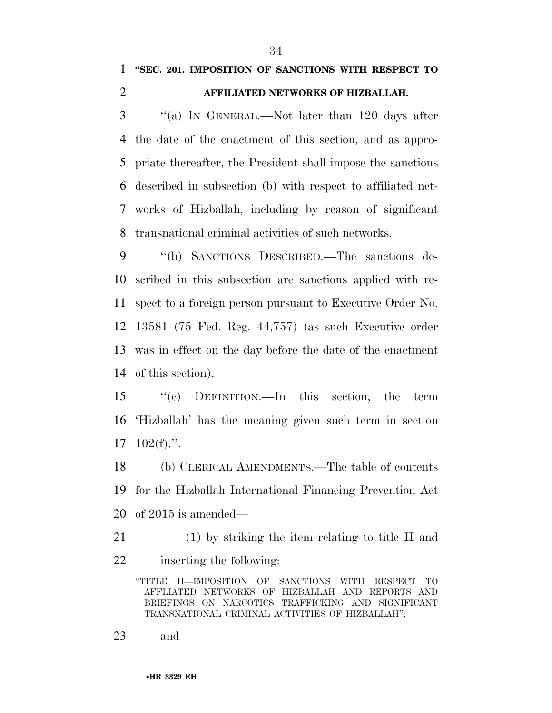### **''SEC. 201. IMPOSITION OF SANCTIONS WITH RESPECT TO AFFILIATED NETWORKS OF HIZBALLAH.**

 ''(a) IN GENERAL.—Not later than 120 days after the date of the enactment of this section, and as appro- priate thereafter, the President shall impose the sanctions described in subsection (b) with respect to affiliated net- works of Hizballah, including by reason of significant transnational criminal activities of such networks.

 ''(b) SANCTIONS DESCRIBED.—The sanctions de- scribed in this subsection are sanctions applied with re- spect to a foreign person pursuant to Executive Order No. 13581 (75 Fed. Reg. 44,757) (as such Executive order was in effect on the day before the date of the enactment of this section).

 ''(c) DEFINITION.—In this section, the term 'Hizballah' has the meaning given such term in section 102(f).''.

 (b) CLERICAL AMENDMENTS.—The table of contents for the Hizballah International Financing Prevention Act of 2015 is amended—

 (1) by striking the item relating to title II and inserting the following:

''TITLE II—IMPOSITION OF SANCTIONS WITH RESPECT TO AFFLIATED NETWORKS OF HIZBALLAH AND REPORTS AND BRIEFINGS ON NARCOTICS TRAFFICKING AND SIGNIFICANT TRANSNATIONAL CRIMINAL ACTIVITIES OF HIZBALLAH'';

and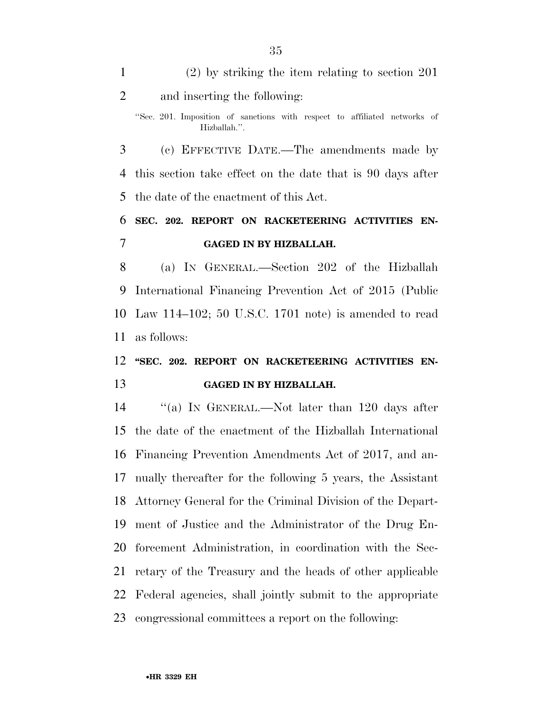| $\mathbf{1}$   | $(2)$ by striking the item relating to section 201                                        |
|----------------|-------------------------------------------------------------------------------------------|
| $\overline{2}$ | and inserting the following:                                                              |
|                | "Sec. 201. Imposition of sanctions with respect to affiliated networks of<br>Hizballah.". |
| 3              | (c) EFFECTIVE DATE.—The amendments made by                                                |
| 4              | this section take effect on the date that is 90 days after                                |
| 5              | the date of the enactment of this Act.                                                    |
| 6              | SEC. 202. REPORT ON RACKETEERING ACTIVITIES EN-                                           |
| 7              | <b>GAGED IN BY HIZBALLAH.</b>                                                             |
|                |                                                                                           |
| 8              | (a) IN GENERAL.—Section 202 of the Hizballah                                              |
| 9              | International Financing Prevention Act of 2015 (Public                                    |
|                | 10 Law 114–102; 50 U.S.C. 1701 note) is amended to read                                   |
| 11             | as follows:                                                                               |
|                | 12 "SEC. 202. REPORT ON RACKETEERING ACTIVITIES EN-                                       |

14 "(a) IN GENERAL.—Not later than 120 days after the date of the enactment of the Hizballah International Financing Prevention Amendments Act of 2017, and an- nually thereafter for the following 5 years, the Assistant Attorney General for the Criminal Division of the Depart- ment of Justice and the Administrator of the Drug En- forcement Administration, in coordination with the Sec- retary of the Treasury and the heads of other applicable Federal agencies, shall jointly submit to the appropriate congressional committees a report on the following: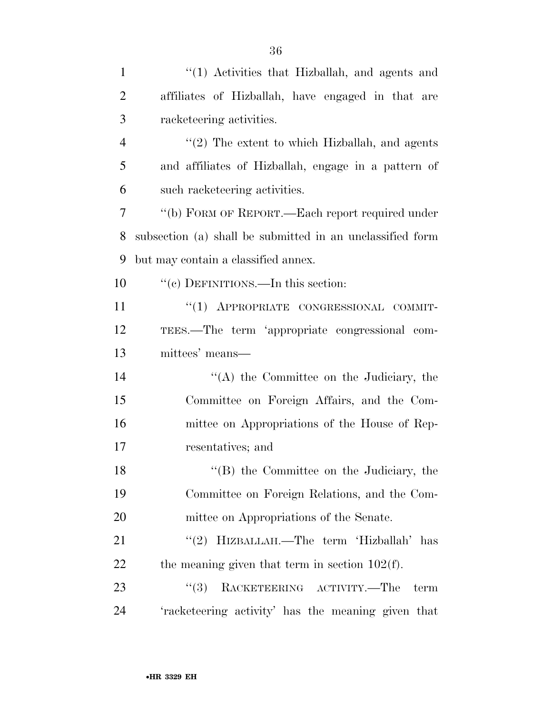| $\mathbf{1}$   | "(1) Activities that Hizballah, and agents and                                                 |
|----------------|------------------------------------------------------------------------------------------------|
| $\overline{2}$ | affiliates of Hizballah, have engaged in that are                                              |
| 3              | racketeering activities.                                                                       |
| $\overline{4}$ | $\lq(2)$ The extent to which Hizballah, and agents                                             |
| 5              | and affiliates of Hizballah, engage in a pattern of                                            |
| 6              | such racketeering activities.                                                                  |
| $\overline{7}$ | "(b) FORM OF REPORT.—Each report required under                                                |
| 8              | subsection (a) shall be submitted in an unclassified form                                      |
| 9              | but may contain a classified annex.                                                            |
| 10             | "(c) DEFINITIONS.—In this section:                                                             |
| 11             | "(1) APPROPRIATE CONGRESSIONAL COMMIT-                                                         |
| 12             | TEES.—The term 'appropriate congressional com-                                                 |
| 13             | mittees' means-                                                                                |
| 14             | $\lq\lq$ the Committee on the Judiciary, the                                                   |
| 15             | Committee on Foreign Affairs, and the Com-                                                     |
| 16             | mittee on Appropriations of the House of Rep-                                                  |
| 17             | resentatives; and                                                                              |
| 18             | "(B) the Committee on the Judiciary, the                                                       |
| 19             | Committee on Foreign Relations, and the Com-                                                   |
| 20             | mittee on Appropriations of the Senate.                                                        |
| 21             | "(2) HIZBALLAH.—The term 'Hizballah' has                                                       |
| 22             | the meaning given that term in section $102(f)$ .                                              |
| 23             | $\textbf{RACKETERING} \quad \textbf{ACTIVITY}.\textcolor{red}{---}\textbf{The}$<br>(3)<br>term |
| 24             | 'racketeering activity' has the meaning given that                                             |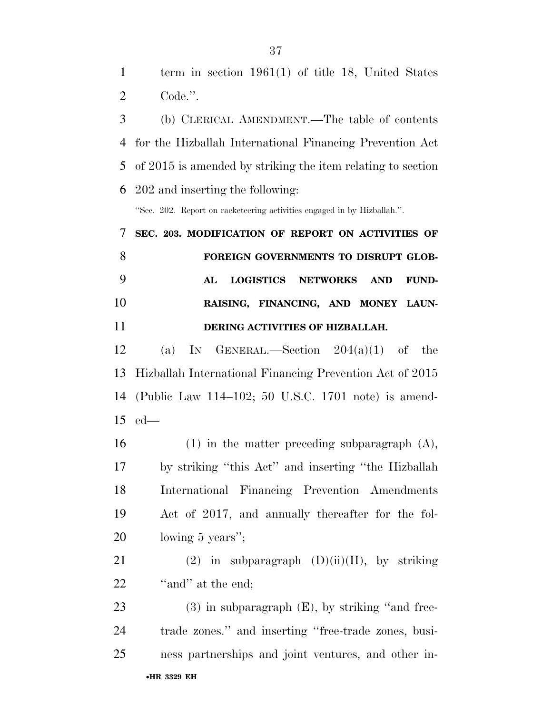(b) CLERICAL AMENDMENT.—The table of contents for the Hizballah International Financing Prevention Act of 2015 is amended by striking the item relating to section 202 and inserting the following:

''Sec. 202. Report on racketeering activities engaged in by Hizballah.''.

## **SEC. 203. MODIFICATION OF REPORT ON ACTIVITIES OF FOREIGN GOVERNMENTS TO DISRUPT GLOB- AL LOGISTICS NETWORKS AND FUND- RAISING, FINANCING, AND MONEY LAUN-DERING ACTIVITIES OF HIZBALLAH.**

12 (a) IN GENERAL.—Section  $204(a)(1)$  of the Hizballah International Financing Prevention Act of 2015 (Public Law 114–102; 50 U.S.C. 1701 note) is amend-ed—

 (1) in the matter preceding subparagraph (A), by striking ''this Act'' and inserting ''the Hizballah International Financing Prevention Amendments Act of 2017, and annually thereafter for the fol-lowing 5 years'';

21 (2) in subparagraph  $(D)(ii)(II)$ , by striking 22 "and" at the end;

•**HR 3329 EH** 23 (3) in subparagraph (E), by striking "and free- trade zones.'' and inserting ''free-trade zones, busi-ness partnerships and joint ventures, and other in-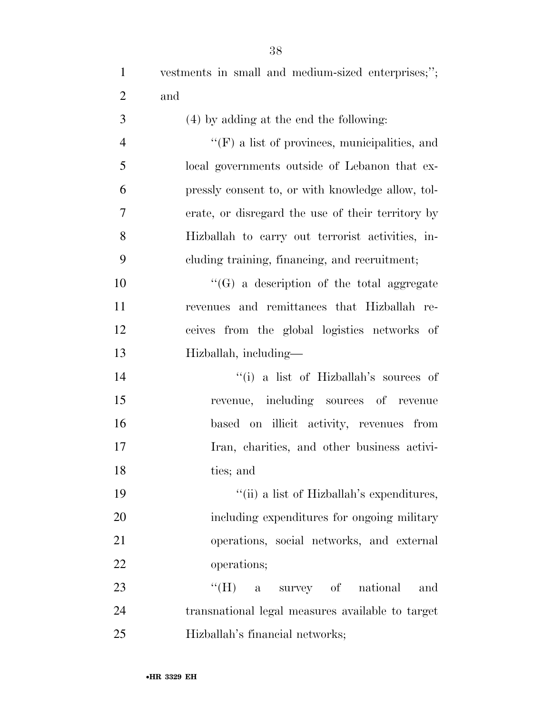| 1              | vestments in small and medium-sized enterprises;";   |
|----------------|------------------------------------------------------|
| $\overline{2}$ | and                                                  |
| 3              | (4) by adding at the end the following:              |
| $\overline{4}$ | $\lq\lq(F)$ a list of provinces, municipalities, and |
| 5              | local governments outside of Lebanon that ex-        |
| 6              | pressly consent to, or with knowledge allow, tol-    |
| $\tau$         | erate, or disregard the use of their territory by    |
| 8              | Hizballah to carry out terrorist activities, in-     |
| 9              | cluding training, financing, and recruitment;        |
| 10             | $\lq\lq(G)$ a description of the total aggregate     |
| 11             | revenues and remittances that Hizballah re-          |
| 12             | ceives from the global logistics networks of         |
| 13             | Hizballah, including-                                |
| 14             | "(i) a list of Hizballah's sources of                |
| 15             | revenue, including sources of revenue                |
| 16             | based on illicit activity, revenues from             |
| 17             | Iran, charities, and other business activi-          |
| 18             | ties; and                                            |
| 19             | "(ii) a list of Hizballah's expenditures,            |
| 20             | including expenditures for ongoing military          |
| 21             | operations, social networks, and external            |
| 22             | operations;                                          |
| 23             | $\lq\lq(H)$ a survey of national<br>and              |
| 24             | transnational legal measures available to target     |
| 25             | Hizballah's financial networks;                      |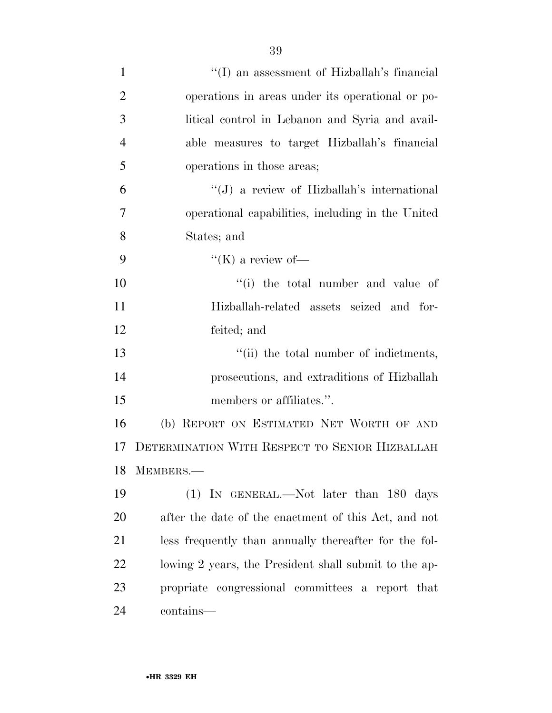| $\mathbf{1}$   | "(I) an assessment of Hizballah's financial           |
|----------------|-------------------------------------------------------|
| $\overline{2}$ | operations in areas under its operational or po-      |
| 3              | litical control in Lebanon and Syria and avail-       |
| $\overline{4}$ | able measures to target Hizballah's financial         |
| 5              | operations in those areas;                            |
| 6              | "(J) a review of Hizballah's international            |
| 7              | operational capabilities, including in the United     |
| 8              | States; and                                           |
| 9              | "(K) a review of-                                     |
| 10             | "(i) the total number and value of                    |
| 11             | Hizballah-related assets seized and for-              |
| 12             | feited; and                                           |
| 13             | "(ii) the total number of indictments,                |
| 14             | prosecutions, and extraditions of Hizballah           |
| 15             | members or affiliates.".                              |
| 16             | (b) REPORT ON ESTIMATED NET WORTH OF AND              |
| 17             | DETERMINATION WITH RESPECT TO SENIOR HIZBALLAH        |
|                | 18 MEMBERS.-                                          |
| 19             | (1) IN GENERAL.—Not later than 180 days               |
| 20             | after the date of the enactment of this Act, and not  |
| 21             | less frequently than annually thereafter for the fol- |
| 22             | lowing 2 years, the President shall submit to the ap- |
| 23             | propriate congressional committees a report that      |
| 24             | contains—                                             |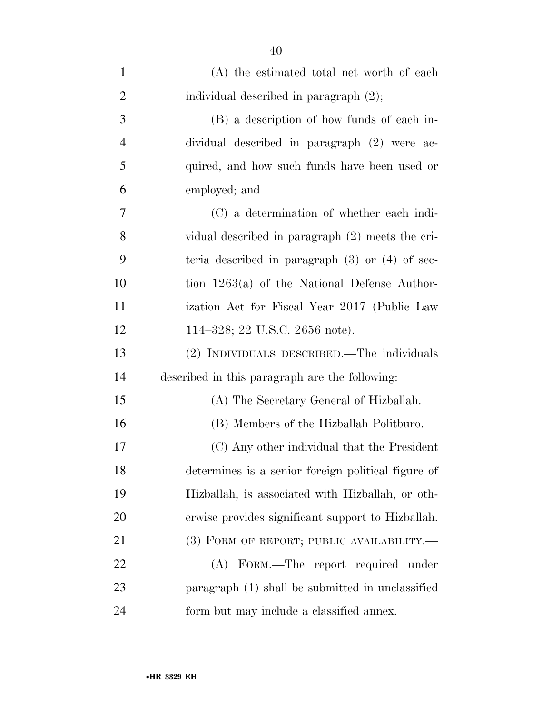| $\mathbf{1}$   | (A) the estimated total net worth of each           |
|----------------|-----------------------------------------------------|
| $\overline{2}$ | individual described in paragraph (2);              |
| 3              | (B) a description of how funds of each in-          |
| $\overline{4}$ | dividual described in paragraph (2) were ac-        |
| 5              | quired, and how such funds have been used or        |
| 6              | employed; and                                       |
| 7              | (C) a determination of whether each indi-           |
| 8              | vidual described in paragraph (2) meets the cri-    |
| 9              | teria described in paragraph $(3)$ or $(4)$ of sec- |
| 10             | tion $1263(a)$ of the National Defense Author-      |
| 11             | ization Act for Fiscal Year 2017 (Public Law        |
| 12             | 114–328; 22 U.S.C. 2656 note).                      |
| 13             | (2) INDIVIDUALS DESCRIBED.—The individuals          |
| 14             | described in this paragraph are the following:      |
| 15             | (A) The Secretary General of Hizballah.             |
| 16             | (B) Members of the Hizballah Politburo.             |
| 17             | (C) Any other individual that the President         |
| 18             | determines is a senior foreign political figure of  |
| 19             | Hizballah, is associated with Hizballah, or oth-    |
| 20             | erwise provides significant support to Hizballah.   |
| 21             | $(3)$ FORM OF REPORT; PUBLIC AVAILABILITY.—         |
| 22             | (A) FORM.—The report required under                 |
| 23             | paragraph (1) shall be submitted in unclassified    |
| 24             | form but may include a classified annex.            |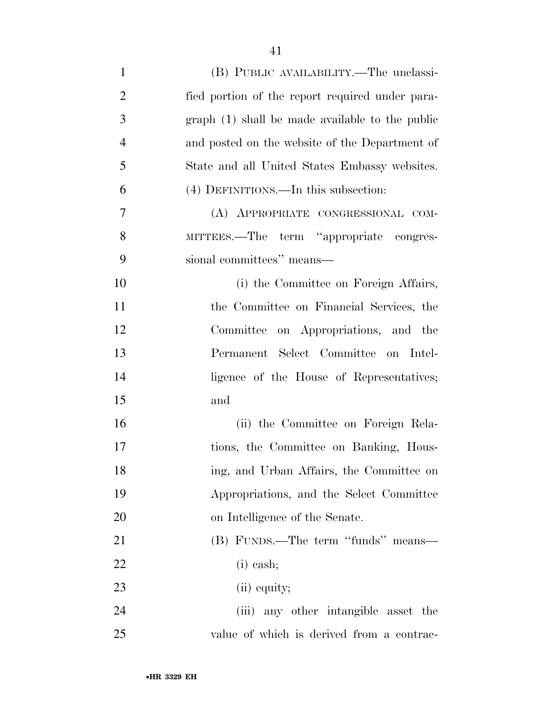| $\mathbf{1}$   | (B) PUBLIC AVAILABILITY.—The unclassi-          |
|----------------|-------------------------------------------------|
| $\overline{2}$ | fied portion of the report required under para- |
| 3              | graph (1) shall be made available to the public |
| $\overline{4}$ | and posted on the website of the Department of  |
| 5              | State and all United States Embassy websites.   |
| 6              | (4) DEFINITIONS.—In this subsection:            |
| $\overline{7}$ | (A) APPROPRIATE CONGRESSIONAL COM-              |
| 8              | MITTEES.—The term "appropriate congres-         |
| 9              | sional committees" means-                       |
| 10             | (i) the Committee on Foreign Affairs,           |
| 11             | the Committee on Financial Services, the        |
| 12             | Committee on Appropriations, and the            |
| 13             | Permanent Select Committee on Intel-            |
| 14             | ligence of the House of Representatives;        |
| 15             | and                                             |
| 16             | (ii) the Committee on Foreign Rela-             |
| 17             | tions, the Committee on Banking, Hous-          |
| 18             | ing, and Urban Affairs, the Committee on        |
| 19             | Appropriations, and the Select Committee        |
| 20             | on Intelligence of the Senate.                  |
| 21             | (B) FUNDS.—The term "funds" means—              |
| 22             | $(i)$ cash;                                     |
| 23             | (ii) equity;                                    |
| 24             | (iii) any other intangible asset the            |
| 25             | value of which is derived from a contrac-       |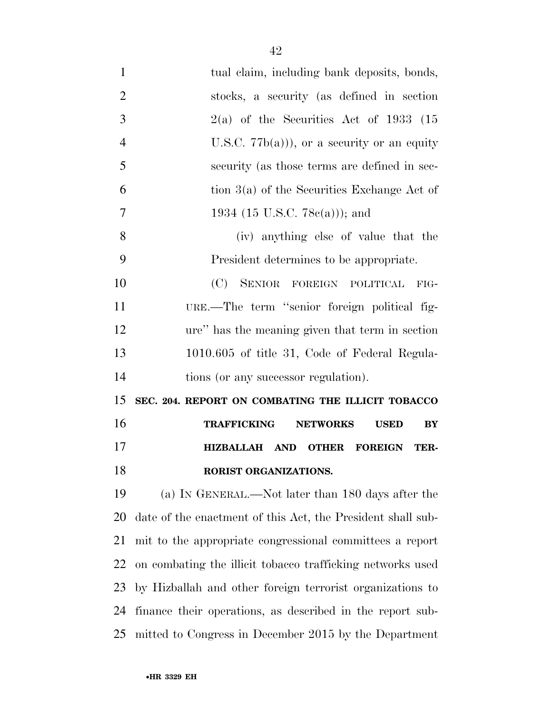| $\mathbf{1}$   | tual claim, including bank deposits, bonds,                 |
|----------------|-------------------------------------------------------------|
| $\overline{2}$ | stocks, a security (as defined in section                   |
| 3              | $2(a)$ of the Securities Act of 1933 (15                    |
| $\overline{4}$ | U.S.C. $77b(a)$ , or a security or an equity                |
| 5              | security (as those terms are defined in sec-                |
| 6              | tion $3(a)$ of the Securities Exchange Act of               |
| $\overline{7}$ | 1934 (15 U.S.C. 78 $c(a)$ )); and                           |
| 8              | (iv) anything else of value that the                        |
| 9              | President determines to be appropriate.                     |
| 10             | (C) SENIOR FOREIGN POLITICAL<br>FIG-                        |
| 11             | URE.—The term "senior foreign political fig-                |
| 12             | ure" has the meaning given that term in section             |
| 13             | 1010.605 of title 31, Code of Federal Regula-               |
| 14             | tions (or any successor regulation).                        |
| 15             | SEC. 204. REPORT ON COMBATING THE ILLICIT TOBACCO           |
| 16             | <b>TRAFFICKING</b><br><b>NETWORKS</b><br>BY<br><b>USED</b>  |
| 17             | HIZBALLAH AND OTHER<br><b>FOREIGN</b><br>TER-               |
| 18             | RORIST ORGANIZATIONS.                                       |
| 19             | (a) IN GENERAL.—Not later than 180 days after the           |
| 20             | date of the enactment of this Act, the President shall sub- |
| 21             | mit to the appropriate congressional committees a report    |
| 22             |                                                             |
|                | on combating the illicit tobacco trafficking networks used  |
| 23             | by Hizballah and other foreign terrorist organizations to   |
| 24             | finance their operations, as described in the report sub-   |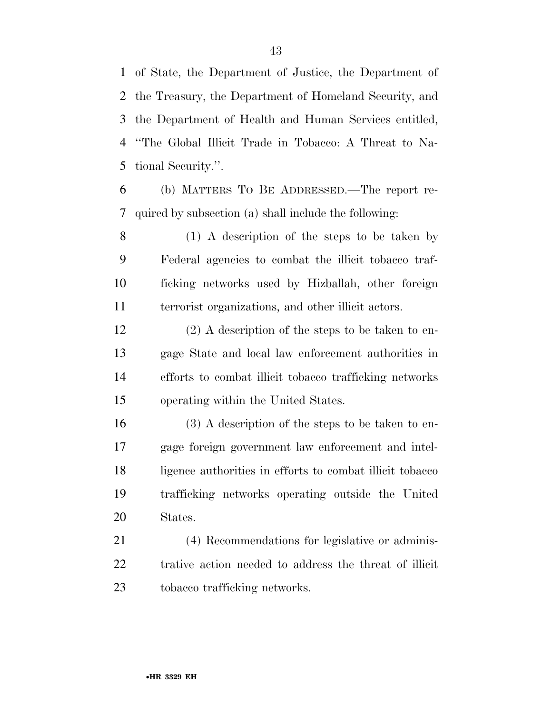of State, the Department of Justice, the Department of the Treasury, the Department of Homeland Security, and the Department of Health and Human Services entitled, ''The Global Illicit Trade in Tobacco: A Threat to Na-tional Security.''.

 (b) MATTERS TO BE ADDRESSED.—The report re-quired by subsection (a) shall include the following:

 (1) A description of the steps to be taken by Federal agencies to combat the illicit tobacco traf- ficking networks used by Hizballah, other foreign terrorist organizations, and other illicit actors.

 (2) A description of the steps to be taken to en- gage State and local law enforcement authorities in efforts to combat illicit tobacco trafficking networks operating within the United States.

 (3) A description of the steps to be taken to en- gage foreign government law enforcement and intel- ligence authorities in efforts to combat illicit tobacco trafficking networks operating outside the United States.

 (4) Recommendations for legislative or adminis- trative action needed to address the threat of illicit tobacco trafficking networks.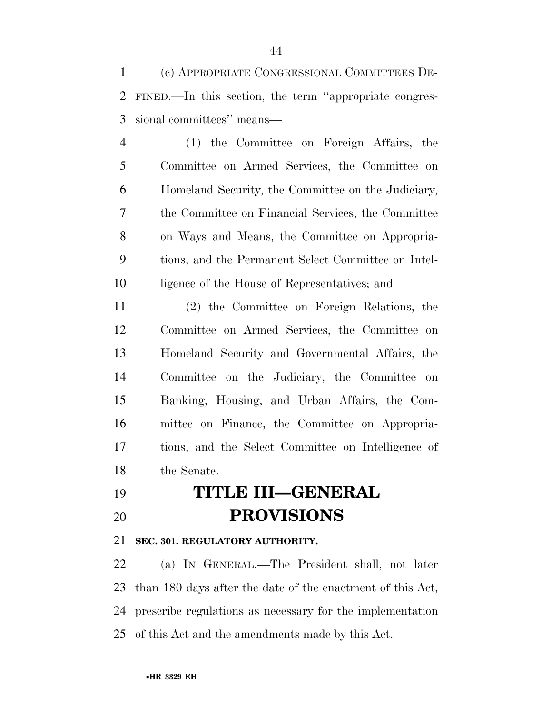(c) APPROPRIATE CONGRESSIONAL COMMITTEES DE- FINED.—In this section, the term ''appropriate congres-sional committees'' means—

 (1) the Committee on Foreign Affairs, the Committee on Armed Services, the Committee on Homeland Security, the Committee on the Judiciary, the Committee on Financial Services, the Committee on Ways and Means, the Committee on Appropria- tions, and the Permanent Select Committee on Intel-ligence of the House of Representatives; and

 (2) the Committee on Foreign Relations, the Committee on Armed Services, the Committee on Homeland Security and Governmental Affairs, the Committee on the Judiciary, the Committee on Banking, Housing, and Urban Affairs, the Com- mittee on Finance, the Committee on Appropria- tions, and the Select Committee on Intelligence of the Senate.

 **TITLE III—GENERAL PROVISIONS** 

#### **SEC. 301. REGULATORY AUTHORITY.**

 (a) IN GENERAL.—The President shall, not later than 180 days after the date of the enactment of this Act, prescribe regulations as necessary for the implementation of this Act and the amendments made by this Act.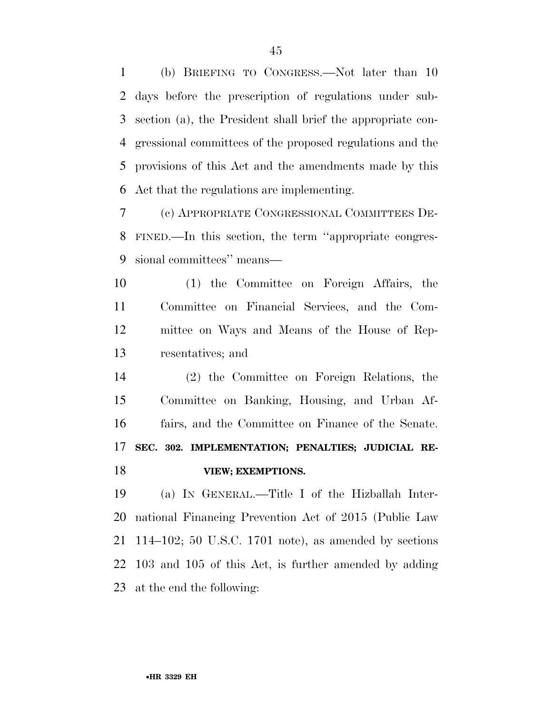(b) BRIEFING TO CONGRESS.—Not later than 10 days before the prescription of regulations under sub- section (a), the President shall brief the appropriate con- gressional committees of the proposed regulations and the provisions of this Act and the amendments made by this Act that the regulations are implementing.

 (c) APPROPRIATE CONGRESSIONAL COMMITTEES DE- FINED.—In this section, the term ''appropriate congres-sional committees'' means—

 (1) the Committee on Foreign Affairs, the Committee on Financial Services, and the Com- mittee on Ways and Means of the House of Rep-resentatives; and

 (2) the Committee on Foreign Relations, the Committee on Banking, Housing, and Urban Af- fairs, and the Committee on Finance of the Senate. **SEC. 302. IMPLEMENTATION; PENALTIES; JUDICIAL RE-VIEW; EXEMPTIONS.** 

 (a) IN GENERAL.—Title I of the Hizballah Inter- national Financing Prevention Act of 2015 (Public Law 114–102; 50 U.S.C. 1701 note), as amended by sections 103 and 105 of this Act, is further amended by adding at the end the following: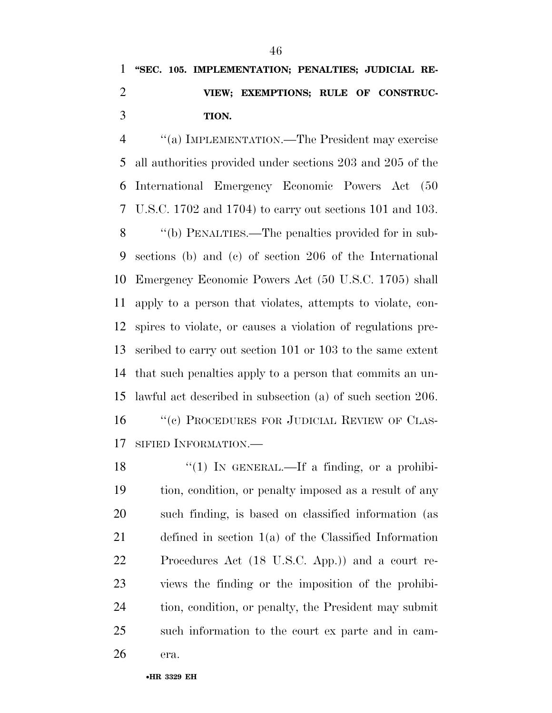## **''SEC. 105. IMPLEMENTATION; PENALTIES; JUDICIAL RE- VIEW; EXEMPTIONS; RULE OF CONSTRUC-TION.**

 ''(a) IMPLEMENTATION.—The President may exercise all authorities provided under sections 203 and 205 of the International Emergency Economic Powers Act (50 U.S.C. 1702 and 1704) to carry out sections 101 and 103. ''(b) PENALTIES.—The penalties provided for in sub- sections (b) and (c) of section 206 of the International Emergency Economic Powers Act (50 U.S.C. 1705) shall apply to a person that violates, attempts to violate, con- spires to violate, or causes a violation of regulations pre- scribed to carry out section 101 or 103 to the same extent that such penalties apply to a person that commits an un- lawful act described in subsection (a) of such section 206. 16 "(c) PROCEDURES FOR JUDICIAL REVIEW OF CLAS-

SIFIED INFORMATION.—

 $\frac{1}{2}$  (1) In GENERAL.—If a finding, or a prohibi- tion, condition, or penalty imposed as a result of any such finding, is based on classified information (as defined in section 1(a) of the Classified Information Procedures Act (18 U.S.C. App.)) and a court re- views the finding or the imposition of the prohibi- tion, condition, or penalty, the President may submit such information to the court ex parte and in cam-

era.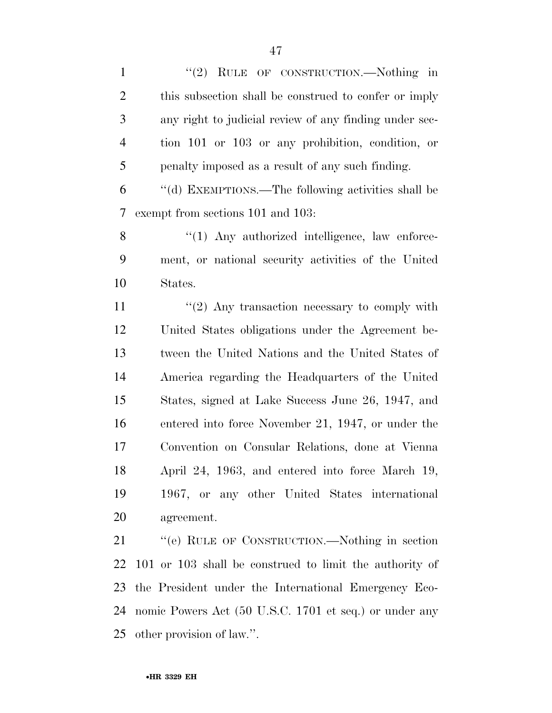1 "(2) RULE OF CONSTRUCTION.—Nothing in this subsection shall be construed to confer or imply any right to judicial review of any finding under sec- tion 101 or 103 or any prohibition, condition, or penalty imposed as a result of any such finding.

 ''(d) EXEMPTIONS.—The following activities shall be exempt from sections 101 and 103:

8 "(1) Any authorized intelligence, law enforce- ment, or national security activities of the United States.

 $\frac{11}{2}$  ''(2) Any transaction necessary to comply with United States obligations under the Agreement be- tween the United Nations and the United States of America regarding the Headquarters of the United States, signed at Lake Success June 26, 1947, and entered into force November 21, 1947, or under the Convention on Consular Relations, done at Vienna April 24, 1963, and entered into force March 19, 1967, or any other United States international agreement.

 ''(e) RULE OF CONSTRUCTION.—Nothing in section 101 or 103 shall be construed to limit the authority of the President under the International Emergency Eco- nomic Powers Act (50 U.S.C. 1701 et seq.) or under any other provision of law.''.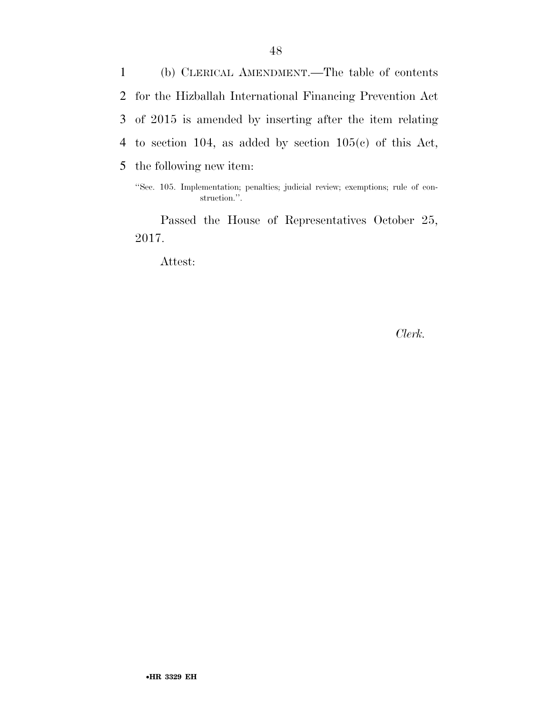(b) CLERICAL AMENDMENT.—The table of contents for the Hizballah International Financing Prevention Act of 2015 is amended by inserting after the item relating to section 104, as added by section 105(c) of this Act, the following new item:

Passed the House of Representatives October 25, 2017.

Attest:

*Clerk.* 

<sup>&#</sup>x27;'Sec. 105. Implementation; penalties; judicial review; exemptions; rule of construction.''.